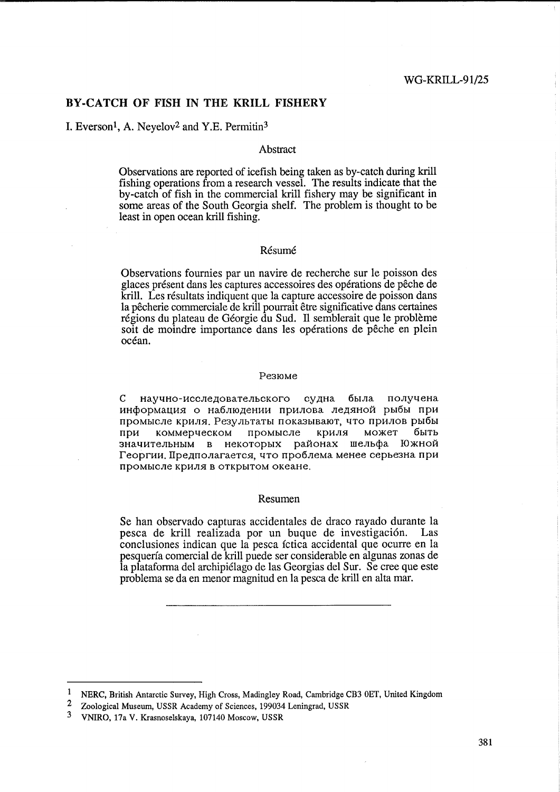### BY-CATCH OF FISH IN THE KRILL FISHERY

# I. Everson<sup>1</sup>, A. Neyelov<sup>2</sup> and Y.E. Permitin<sup>3</sup>

#### Abstract

Observations are reported of icefish being taken as by-catch during krill fishing operations from a research vessel. The results indicate that the by-catch of fish in the commercial krill fishery may be significant in some areas of the South Georgia shelf. The problem is thought to be least in open ocean krill fishing.

#### Résumé

Observations fournies par un navire de recherche sur le poisson des glaces présent dans les captures accessoires des opérations de pêche de krill. Les résultats indiquent que la capture accessoire de poisson dans la pêcherie commerciale de krill pourrait être significative dans certaines régions du plateau de Géorgie du Sud. Il semblerait que le problème soit de moindre importance dans les opérations de pêche en plein océan.

#### Резюме

 $\mathsf{C}$ научно-исследовательского судна была получена информация о наблюдении прилова ледяной рыбы при промысле криля. Результаты показывают, что прилов рыбы криля может быть при коммерческом промысле значительным в некоторых районах шельфа Южной Георгии. Предполагается, что проблема менее серьезна при промысле криля в открытом океане.

#### Resumen

Se han observado capturas accidentales de draco rayado durante la pesca de krill realizada por un buque de investigación. Las conclusiones indican que la pesca íctica accidental que ocurre en la pesquería comercial de krill puede ser considerable en algunas zonas de la plataforma del archipiélago de las Georgias del Sur. Se cree que este problema se da en menor magnitud en la pesca de krill en alta mar.

 $\mathbf{1}$ NERC, British Antarctic Survey, High Cross, Madingley Road, Cambridge CB3 0ET, United Kingdom

 $\overline{2}$ Zoological Museum, USSR Academy of Sciences, 199034 Leningrad, USSR

<sup>3</sup> VNIRO, 17a V. Krasnoselskaya, 107140 Moscow, USSR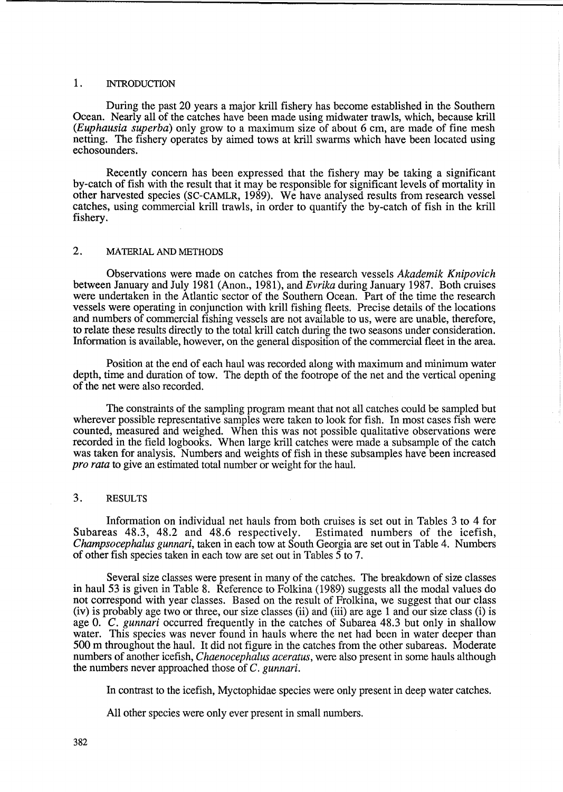#### 1. INTRODUCTION

During the past 20 years a major krill fishery has become established in the Southern Ocean. Nearly all of the catches have been made using midwater trawls, which, because krill *(Euphausia superba)* only grow to a maximum size of about 6 cm, are made of fine mesh netting. The fishery operates by aimed tows at krill swarms which have been located using echosounders.

Recently concern has been expressed that the fishery may be taking a significant by-catch of fish with the result that it may be responsible for significant levels of mortality in other harvested species (SC-CAMLR, 1989). We have analysed results from research vessel catches, using commercial krill trawls, in order to quantify the by-catch of fish in the kriU fishery.

### 2. MATERIAL AND METHODS

Observations were made on catches from the research vessels *Akademik Knipovich*  between January and July 1981 (Anon., 1981), and *Evrika* during January 1987. Both cruises were undertaken in the Atlantic sector of the Southern Ocean. Part of the time the research vessels were operating in conjunction with krill fishing fleets. Precise details of the locations and numbers of commercial fishing vessels are not available to us, were are unable, therefore, to relate these results directly to the total krill catch during the two seasons under consideration. Information is available, however, on the general disposition of the commercial fleet in the area.

Position at the end of each haul was recorded along with maximum and minimum water depth, time and duration of tow. The depth of the footrope of the net and the vertical opening of the net were also recorded.

The constraints of the sampling program meant that not all catches could be sampled but wherever possible representative samples were taken to look for fish. In most cases fish were counted, measured and weighed. When this was not possible qualitative observations were recorded in the field logbooks. When large krill catches were made a subsample of the catch was taken for analysis. Numbers and weights of fish in these subsamples have been increased *pro rata* to give an estimated total number or weight for the haul.

#### 3. RESULTS

Information on individual net hauls from both cruises is set out in Tables 3 to 4 for Subareas 48.3, 48.2 and 48.6 respectively. Estimated numbers of the icefish, *Champsocephalus gunnari,* taken in each tow at South Georgia are set out in Table 4. Numbers of other fish species taken in each tow are set out in Tables 5 to 7.

Several size classes were present in many of the catches. The breakdown of size classes in haul 53 is given in Table 8. Reference to Folkina (1989) suggests all the modal values do not correspond with year classes. Based on the result of Frolkina, we suggest that our class (iv) is probably age two or three, our size classes (ii) and (iii) are age 1 and our size class (i) is age O. C. *gunnari* occurred frequently in the catches of Subarea 48.3 but only in shallow water. This species was never found in hauls where the net had been in water deeper than 500 m throughout the haul. It did not figure in the catches from the other subareas. Moderate numbers of another icefish, *Chaenocephalus aceratus,* were also present in some hauls although the numbers never approached those of C. *gunnari.* 

In contrast to the icefish, Myctophidae species were only present in deep water catches.

All other species were only ever present in small numbers.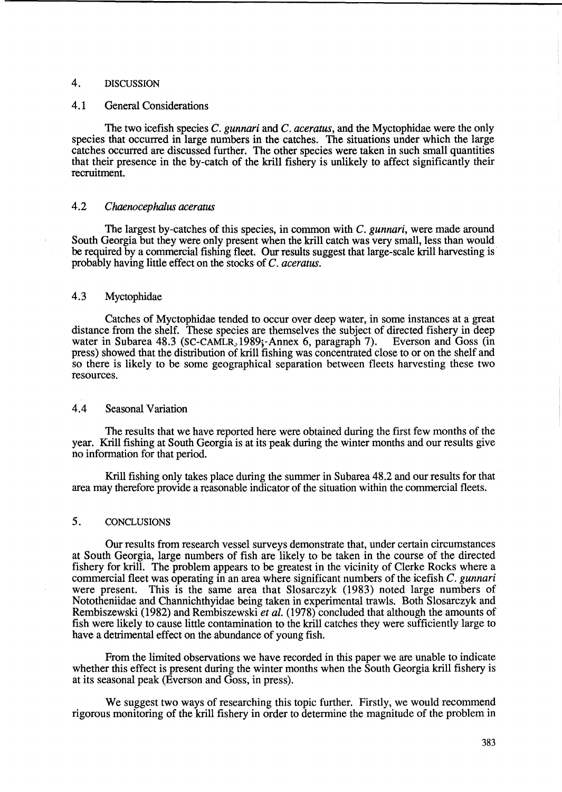# 4. DISCUSSION

# 4.1 General Considerations

The two icefish species C. *gunnari* and C. *aceratus,* and the Myctophidae were the only species that occurred in large numbers in the catches. The situations under which the large catches occurred are discussed further. The other species were taken in such small quantities that their presence in the by-catch of the krill fishery is unlikely to affect significantly their recruitment.

# *4.2 Chaenocephalus aceratus*

The largest by-catches of this species, in common with C. *gunnari,* were made around South Georgia but they were only present when the krill catch was very small, less than would be required by a commercial fishing fleet. Our results suggest that large-scale krill harvesting is probably having little effect on the stocks of C. *aceratus.* 

# 4.3 Myctophidae

Catches of Myctophidae tended to occur over deep water, in some instances at a great distance from the shelf. These species are themselves the subject of directed fishery in deep water in Subarea 48.3 (SC-CAMLR, 1989; Annex 6, paragraph 7). Everson and Goss (in water in Subarea 48.3 (SC-CAMLR,  $1989$ ; Annex 6, paragraph 7). press) showed that the distribution of krill fishing was concentrated close to or on the shelf and so there is likely to be some geographical separation between fleets harvesting these two resources.

# 4.4 Seasonal Variation

The results that we have reported here were obtained during the first few months of the year. Krill fishing at South Georgia is at its peak during the winter months and our results give no information for that period.

Krill fishing only takes place during the summer in Subarea 48.2 and our results for that area may therefore provide a reasonable indicator of the situation within the commercial fleets.

#### 5. CONCLUSIONS

Our results from research vessel surveys demonstrate that, under certain circumstances at South Georgia, large numbers of fish are likely to be taken in the course of the directed fishery for krill. The problem appears to be greatest in the vicinity of Clerke Rocks where a commercial fleet was operating in an area where significant numbers of the icefish C. *gunnari*  were present. This is the same area that Slosarczyk (1983) noted large numbers of Nototheniidae and Channichthyidae being taken in experimental trawls. Both Slosarczyk and Rembiszewski (1982) and Rembiszewski *et al.* (1978) concluded that although the amounts of fish were likely to cause little contamination to the krill catches they were sufficiently large to have a detrimental effect on the abundance of young fish.

From the limited observations we have recorded in this paper we are unable to indicate whether this effect is present during the winter months when the South Georgia krill fishery is at its seasonal peak (Everson and Goss, in press).

We suggest two ways of researching this topic further. Firstly, we would recommend rigorous monitoring of the krill fishery in order to determine the magnitude of the problem in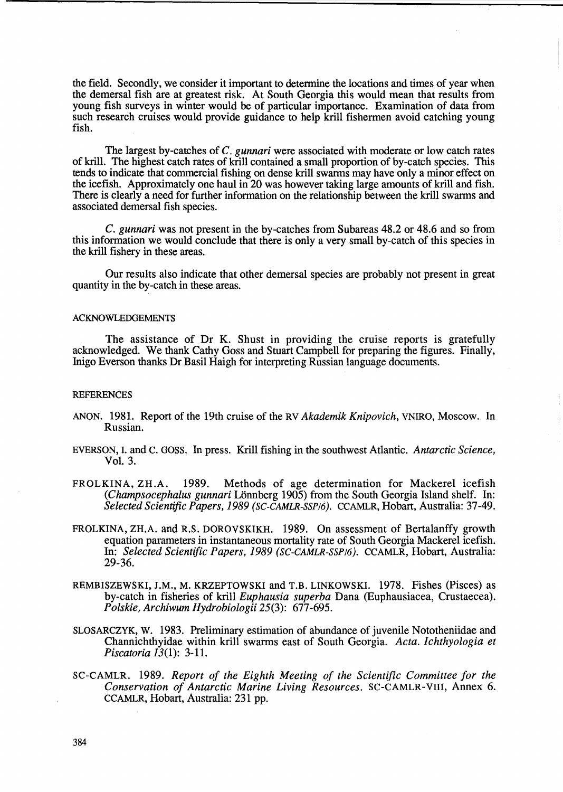the field. Secondly, we consider it important to determine the locations and times of year when the demersal fish are at greatest risk. At South Georgia this would mean that results from young fish surveys in winter would be of particular importance. Examination of data from such research cruises would provide guidance to help krill fishermen avoid catching young fish.

The largest by-catches of C. *gunnari* were associated with moderate or low catch rates of krill. The highest catch rates of krill contained a small proportion of by-catch species. This tends to indicate that commercial fishing on dense krill swarms may have only a minor effect on the icefish. Approximately one haul in 20 was however taking large amounts of krill and fish. There is clearly a need for further information on the relationship between the krill swarms and associated demersal fish species.

C. *gunnari* was not present in the by-catches from Subareas 48.2 or 48.6 and so from this information we would conclude that there is only a very small by-catch of this species in the krill fishery in these areas.

Our results also indicate that other demersal species are probably not present in great quantity in the by-catch in these areas.

#### **ACKNOWLEDGEMENTS**

The assistance of Dr K. Shust in providing the cruise reports is gratefully acknowledged. We thank Cathy Goss and Stuart Campbell for preparing the figures. Finally, Inigo Everson thanks Dr Basil Haigh for interpreting Russian language documents.

#### **REFERENCES**

- ANON. 1981. Report of the 19th cruise of the RV *Akademik Knipovich,* VNIRO, Moscow. In Russian.
- EVERSON,1. and C. GOSS. In press. Krill fishing in the southwest Atlantic. *Antarctic Science,*  Vol. 3.
- FROLKINA, ZH.A. 1989. Methods of age determination for Mackerel icefish *(Champsocephalus gunnari Lönnberg 1905)* from the South Georgia Island shelf. In: *Selected Scientific Papers,* 1989 *(SC-CAMLR-SSP/6).* CCAMLR, Hobart, Australia: 37-49.
- FROLKINA, ZH.A. and R.S. DOROVSKIKH. 1989. On assessment of Bertalanffy growth equation parameters in instantaneous mortality rate of South Georgia Mackerel icefish. In: *Selected Scientific Papers,* 1989 *(SC-CAMLR-SSP/6).* CCAMLR, Hobart, Australia: 29-36.
- REMBISZEWSKI, J.M., M. KRZEPTOWSKI and T.B. LINKOWSKI. 1978. Fishes (Pisces) as by-catch in fisheries of krill *Euphausia superba* Dana (Euphausiacea, Crustaecea). *Polskie, Archiwum Hydrobiologii* 25(3): 677-695.
- SLOSARCZYK, W. 1983. Preliminary estimation of abundance of juvenile Nototheniidae and Channichthyidae within kriU swarms east of South Georgia. *Acta. Ichthyologia et Piscatoria* 13(1): 3-11.
- SC-CAMLR. 1989. *Report of the Eighth Meeting of the Scientific Committee for the Conservation of Antarctic Marine Living Resources.* SC-CAMLR-VIII, Annex 6. CCAMLR, Hobart, Australia: 231 pp.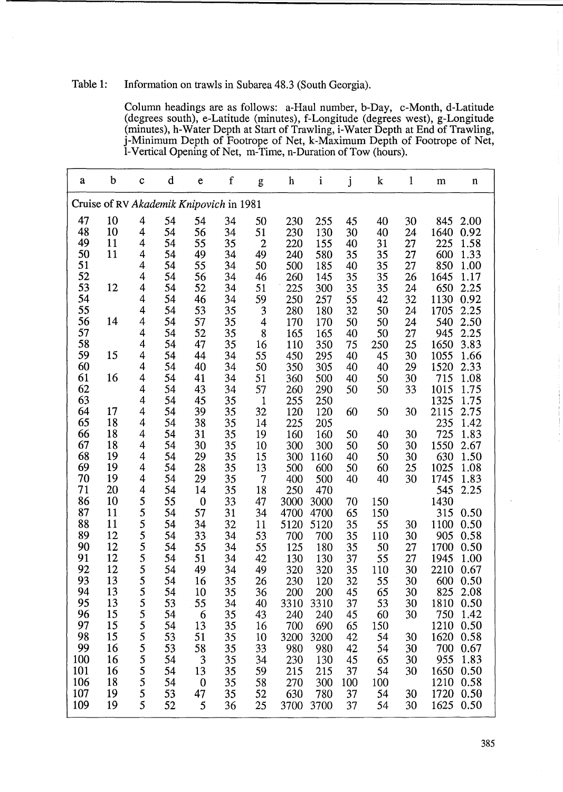# Table 1: Information on trawls in Subarea 48.3 (South Georgia).

Column headings are as follows: a-Haul number, b-Day, c-Month, d-Latitude (degrees south), e-Latitude (minutes), f-Longitude (degrees west), g-Longitude (minutes), h-Water Depth at Start of Trawling, i-Water Depth at End of Trawling, j-Minimum Depth of Footrope of Net, k-Maximum Depth of Footrope of Net, I-Vertical Opening of Net, m-Time, n-Duration of Tow (hours).

| a   | b  | $\mathbf c$              | d  | e                                       | $\mathbf f$ | g              | h    | $\mathbf{i}$ | j   | $\bf k$ | $\mathbf{l}$ | m    | $\mathbf n$ |
|-----|----|--------------------------|----|-----------------------------------------|-------------|----------------|------|--------------|-----|---------|--------------|------|-------------|
|     |    |                          |    | Cruise of RV Akademik Knipovich in 1981 |             |                |      |              |     |         |              |      |             |
| 47  | 10 | 4                        | 54 | 54                                      | 34          | 50             | 230  | 255          | 45  | 40      | 30           | 845  | 2.00        |
| 48  | 10 | 4                        | 54 | 56                                      | 34          | 51             | 230  | 130          | 30  | 40      | 24           | 1640 | 0.92        |
| 49  | 11 | $\overline{\mathbf{4}}$  | 54 | 55                                      | 35          | $\overline{2}$ | 220  | 155          | 40  | 31      | 27           | 225  | 1.58        |
| 50  | 11 | $\overline{\mathbf{4}}$  | 54 | 49                                      | 34          | 49             | 240  | 580          | 35  | 35      | 27           | 600  | 1.33        |
| 51  |    | $\overline{4}$           | 54 | 55                                      | 34          | 50             | 500  | 185          | 40  | 35      | 27           | 850  | 1.00        |
| 52  |    | $\overline{\mathbf{4}}$  | 54 | 56                                      | 34          | 46             | 260  | 145          | 35  | 35      | 26           | 1645 | 1.17        |
| 53  | 12 | $\overline{\mathbf{4}}$  | 54 | 52                                      | 34          | 51             | 225  | 300          | 35  | 35      | 24           | 650  | 2.25        |
| 54  |    | 4                        | 54 | 46                                      | 34          | 59             | 250  | 257          | 55  | 42      | 32           | 1130 | 0.92        |
| 55  |    | $\overline{\mathbf{4}}$  | 54 | 53                                      | 35          | 3              | 280  | 180          | 32  | 50      | 24           | 1705 | 2.25        |
| 56  | 14 | 4                        | 54 | 57                                      | 35          | 4              | 170  | 170          | 50  | 50      | 24           | 540  | 2.50        |
| 57  |    | $\overline{\mathbf{4}}$  | 54 | 52                                      | 35          | 8              | 165  | 165          | 40  | 50      | 27           | 945  | 2.25        |
| 58  |    | $\overline{\mathbf{4}}$  | 54 | 47                                      | 35          | 16             | 110  | 350          | 75  | 250     | 25           | 1650 | 3.83        |
| 59  | 15 | $\overline{\mathcal{A}}$ | 54 | 44                                      | 34          | 55             | 450  | 295          | 40  | 45      | 30           | 1055 | 1.66        |
| 60  |    | 4                        | 54 | 40                                      | 34          | 50             | 350  | 305          | 40  | 40      | 29           | 1520 | 2.33        |
| 61  | 16 | $\overline{4}$           | 54 | 41                                      | 34          | 51             | 360  | 500          | 40  | 50      | 30           | 715  | 1.08        |
| 62  |    | $\overline{\mathbf{4}}$  | 54 | 43                                      | 34          | 57             | 260  | 290          | 50  | 50      | 33           | 1015 | 1.75        |
| 63  |    | $\overline{\mathbf{4}}$  | 54 | 45                                      | 35          | $\mathbf{1}$   | 255  | 250          |     |         |              | 1325 | 1.75        |
| 64  | 17 | 4                        | 54 | 39                                      | 35          | 32             | 120  | 120          | 60  | 50      | 30           | 2115 | 2.75        |
| 65  | 18 | $\overline{4}$           | 54 | 38                                      | 35          | 14             | 225  | 205          |     |         |              | 235  | 1.42        |
| 66  | 18 | $\overline{4}$           | 54 | 31                                      | 35          | 19             | 160  | 160          | 50  | 40      | 30           | 725  | 1.83        |
| 67  | 18 | $\overline{\mathbf{4}}$  | 54 | 30                                      | 35          | 10             | 300  | 300          | 50  | 50      | 30           | 1550 | 2.67        |
| 68  | 19 | $\overline{4}$           | 54 | 29                                      | 35          | 15             | 300  | 1160         | 40  | 50      | 30           | 630  | 1.50        |
| 69  | 19 | $\overline{4}$           | 54 | 28                                      | 35          | 13             | 500  | 600          | 50  | 60      | 25           | 1025 | 1.08        |
| 70  | 19 | $\overline{4}$           | 54 | 29                                      | 35          | $\overline{7}$ | 400  | 500          | 40  | 40      | 30           | 1745 | 1.83        |
| 71  | 20 | $\overline{\mathcal{A}}$ | 54 | 14                                      | 35          | 18             | 250  | 470          |     |         |              | 545  | 2.25        |
| 86  | 10 | 5                        | 55 | $\boldsymbol{0}$                        | 33          | 47             | 3000 | 3000         | 70  | 150     |              | 1430 |             |
| 87  | 11 | 5                        | 54 | 57                                      | 31          | 34             | 4700 | 4700         | 65  | 150     |              | 315  | 0.50        |
| 88  | 11 |                          | 54 | 34                                      | 32          | 11             | 5120 | 5120         | 35  | 55      | 30           | 1100 | 0.50        |
| 89  | 12 |                          | 54 | 33                                      | 34          | 53             | 700  | 700          | 35  | 110     | 30           | 905  | 0.58        |
| 90  | 12 |                          | 54 | 55                                      | 34          | 55             | 125  | 180          | 35  | 50      | 27           | 1700 | 0.50        |
| 91  | 12 | $555$<br>$555$           | 54 | 51                                      | 34          | 42             | 130  | 130          | 37  | 55      | 27           | 1945 | 1.00        |
| 92  | 12 |                          | 54 | 49                                      | 34          | 49             | 320  | 320          | 35  | 110     | 30           | 2210 | 0.67        |
| 93  | 13 | 5                        | 54 | 16                                      | 35          | 26             | 230  | 120          | 32  | 55      | 30           | 600  | 0.50        |
| 94  | 13 | C                        | 54 | 10                                      | 35          | 36             | 200  | 200          | 45  | 65      | 30           | 825  | 2.08        |
| 95  | 13 | 5                        | 53 | 55                                      | 34          | 40             | 3310 | 3310         | 37  | 53      | 30           | 1810 | 0.50        |
| 96  | 15 | 5                        | 54 | 6                                       | 35          | 43             | 240  | 240          | 45  | 60      | 30           | 750  | 1.42        |
| 97  | 15 | 5                        | 54 | 13                                      | 35          | 16             | 700  | 690          | 65  | 150     |              | 1210 | 0.50        |
| 98  | 15 | $\frac{5}{5}$            | 53 | 51                                      | 35          | 10             | 3200 | 3200         | 42  | 54      | 30           | 1620 | 0.58        |
| 99  | 16 |                          | 53 | 58                                      | 35          | 33             | 980  | 980          | 42  | 54      | 30           | 700  | 0.67        |
| 100 | 16 | 5                        | 54 | 3                                       | 35          | 34             | 230  | 130          | 45  | 65      | 30           | 955  | 1.83        |
| 101 | 16 | 5                        | 54 | 13                                      | 35          | 59             | 215  | 215          | 37  | 54      | 30           | 1650 | 0.50        |
| 106 | 18 | 5                        | 54 | $\boldsymbol{0}$                        | 35          | 58             | 270  | 300          | 100 | 100     |              | 1210 | 0.58        |
| 107 | 19 | 5                        | 53 | 47                                      | 35          | 52             | 630  | 780          | 37  | 54      | 30           | 1720 | 0.50        |
| 109 | 19 | 5                        | 52 | 5                                       | 36          | 25             | 3700 | 3700         | 37  | 54      | 30           | 1625 | 0.50        |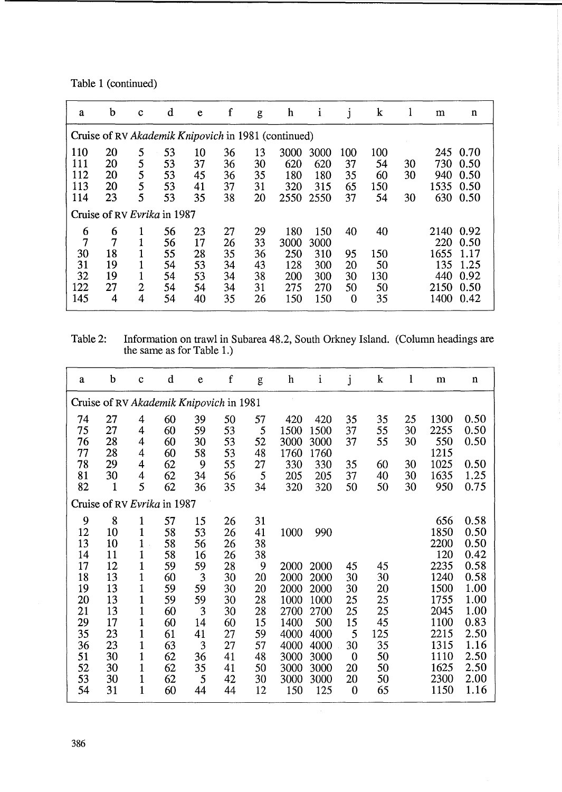Table 1 (continued)

| a                        | b                    | $\mathbf c$      | d                                 | e                    | f                    | g                    | h                                                   | <sup>1</sup>              | j                     | $\bf k$                |          | m                          | $\mathbf n$                  |
|--------------------------|----------------------|------------------|-----------------------------------|----------------------|----------------------|----------------------|-----------------------------------------------------|---------------------------|-----------------------|------------------------|----------|----------------------------|------------------------------|
|                          |                      |                  |                                   |                      |                      |                      | Cruise of RV Akademik Knipovich in 1981 (continued) |                           |                       |                        |          |                            |                              |
| 110<br>111<br>112<br>113 | 20<br>20<br>20<br>20 | 5<br>5<br>5<br>5 | 53<br>53<br>53<br>53              | 10<br>37<br>45<br>41 | 36<br>36<br>36<br>37 | 13<br>30<br>35<br>31 | 3000<br>620<br>180<br>320                           | 3000<br>620<br>180<br>315 | 100<br>37<br>35<br>65 | 100<br>54<br>60<br>150 | 30<br>30 | 245<br>730<br>940<br>1535  | 0.70<br>0.50<br>0.50<br>0.50 |
| 114                      | 23                   | 5                | 53<br>Cruise of RV Evrika in 1987 | 35                   | 38                   | 20                   | 2550                                                | 2550                      | 37                    | 54                     | 30       | 630                        | 0.50                         |
| 6<br>7                   | 6<br>7               |                  | 56<br>56                          | 23<br>17             | 27<br>26             | 29<br>33             | 180<br>3000                                         | 150<br>3000               | 40                    | 40                     |          | 2140<br>220                | 0.92<br>0.50                 |
| 30<br>31<br>32<br>122    | 18<br>19<br>19<br>27 | $\overline{2}$   | 55<br>54<br>54<br>54              | 28<br>53<br>53<br>54 | 35<br>34<br>34<br>34 | 36<br>43<br>38<br>31 | 250<br>128<br>200<br>275                            | 310<br>300<br>300<br>270  | 95<br>20<br>30<br>50  | 150<br>50<br>130<br>50 |          | 1655<br>135<br>440<br>2150 | 1.17<br>1.25<br>0.92<br>0.50 |
| 145                      | 4                    | 4                | 54                                | 40                   | 35                   | 26                   | 150                                                 | 150                       | $\overline{0}$        | 35                     |          | 1400                       | 0.42                         |

Table 2: Information on trawl in Subarea 48.2, South Orkney Island. (Column headings are the same as for Table 1.)

| a        | b            | $\mathbf c$                  | d                                       | e        | $\mathbf f$ | g        | h            | $\mathbf{i}$ | j                | k        | 1        | m            | n            |
|----------|--------------|------------------------------|-----------------------------------------|----------|-------------|----------|--------------|--------------|------------------|----------|----------|--------------|--------------|
|          |              |                              | Cruise of RV Akademik Knipovich in 1981 |          |             |          |              |              |                  |          |          |              |              |
| 74<br>75 | 27<br>27     | 4<br>4                       | 60<br>60                                | 39<br>59 | 50<br>53    | 57<br>5  | 420<br>1500  | 420<br>1500  | 35<br>37         | 35<br>55 | 25<br>30 | 1300<br>2255 | 0.50<br>0.50 |
| 76<br>77 | 28<br>28     | 4<br>4                       | 60<br>60                                | 30<br>58 | 53<br>53    | 52<br>48 | 3000<br>1760 | 3000<br>1760 | 37               | 55       | 30       | 550<br>1215  | 0.50         |
| 78<br>81 | 29<br>30     | 4<br>$\overline{\mathbf{4}}$ | 62<br>62                                | 9<br>34  | 55<br>56    | 27<br>5  | 330<br>205   | 330<br>205   | 35<br>37         | 60<br>40 | 30<br>30 | 1025<br>1635 | 0.50<br>1.25 |
| 82       | $\mathbf{1}$ | 5                            | 62<br>Cruise of RV Evrika in 1987       | 36       | 35          | 34       | 320          | 320          | 50               | 50       | 30       | 950          | 0.75         |
|          |              |                              |                                         |          |             |          |              |              |                  |          |          |              |              |
| 9        | 8            | 1                            | 57                                      | 15       | 26          | 31       |              |              |                  |          |          | 656          | 0.58         |
| 12       | 10           | 1                            | 58                                      | 53       | 26          | 41       | 1000         | 990          |                  |          |          | 1850         | 0.50         |
| 13<br>14 | 10<br>11     | $\mathbf{1}$<br>1            | 58                                      | 56       | 26          | 38       |              |              |                  |          |          | 2200<br>120  | 0.50<br>0.42 |
| 17       | 12           | 1                            | 58<br>59                                | 16<br>59 | 26<br>28    | 38<br>9  | 2000         | 2000         | 45               | 45       |          | 2235         | 0.58         |
| 18       | 13           | $\mathbf 1$                  | 60                                      | 3        | 30          | 20       | 2000         | 2000         | 30               | 30       |          | 1240         | 0.58         |
| 19       | 13           | 1                            | 59                                      | 59       | 30          | 20       | 2000         | 2000         | 30               | 20       |          | 1500         | 1.00         |
| 20       | 13           | 1                            | 59                                      | 59       | 30          | 28       | 1000         | 1000         | 25               | 25       |          | 1755         | 1.00         |
| 21       | 13           | 1                            | 60                                      | 3        | 30          | 28       | 2700         | 2700         | 25               | 25       |          | 2045         | 1.00         |
| 29       | 17           | 1                            | 60                                      | 14       | 60          | 15       | 1400         | 500          | 15               | 45       |          | 1100         | 0.83         |
| 35       | 23           | 1                            | 61                                      | 41       | 27          | 59       | 4000         | 4000         | 5                | 125      |          | 2215         | 2.50         |
| 36       | 23           | 1                            | 63                                      | 3        | 27          | 57       | 4000         | 4000         | 30               | 35       |          | 1315         | 1.16         |
| 51       | 30           | 1                            | 62                                      | 36       | 41          | 48       | 3000         | 3000         | $\boldsymbol{0}$ | 50       |          | 1110         | 2.50         |
| 52       | 30           | 1                            | 62                                      | 35       | 41          | 50       | 3000         | 3000         | 20               | 50       |          | 1625         | 2.50         |
| 53       | 30           | 1                            | 62                                      | 5        | 42          | 30       | 3000         | 3000         | 20               | 50       |          | 2300         | 2.00         |
| 54       | 31           | $\mathbf 1$                  | 60                                      | 44       | 44          | 12       | 150          | 125          | $\bf{0}$         | 65       |          | 1150         | 1.16         |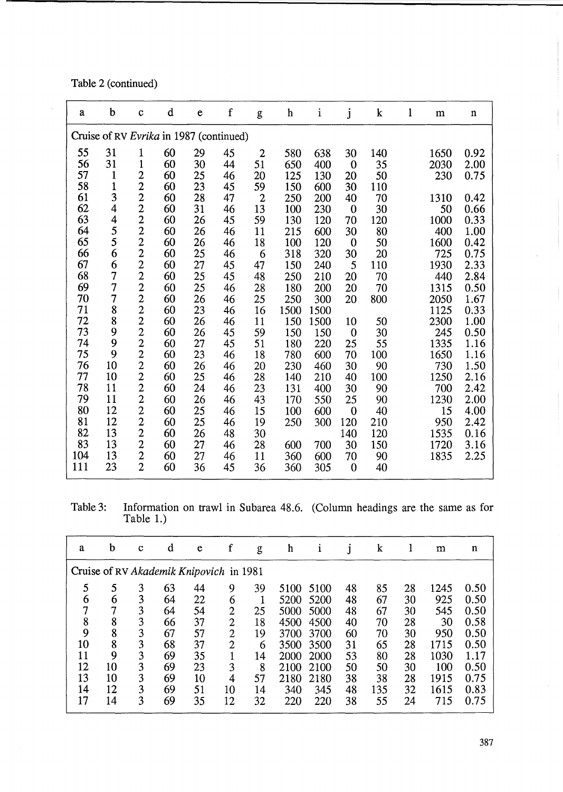Table 2 (continued)

 $\bar{z}$ 

| a   | b              | $\mathbf c$                 | $\mathbf d$                             | $\mathbf e$ | f  | g              | h    | i    | j            | k   | $\mathbf{1}$ | ${\bf m}$ | $\mathbf n$ |
|-----|----------------|-----------------------------|-----------------------------------------|-------------|----|----------------|------|------|--------------|-----|--------------|-----------|-------------|
|     |                |                             | Cruise of RV Evrika in 1987 (continued) |             |    |                |      |      |              |     |              |           |             |
| 55  | 31             | 1                           | 60                                      | 29          | 45 | $\mathbf{2}$   | 580  | 638  | 30           | 140 |              | 1650      | 0.92        |
| 56  | 31             | $\mathbf{1}$                | 60                                      | 30          | 44 | 51             | 650  | 400  | $\bf{0}$     | 35  |              | 2030      | 2.00        |
| 57  | $\mathbf{1}$   |                             | 60                                      | 25          | 46 | 20             | 125  | 130  | 20           | 50  |              | 230       | 0.75        |
| 58  | $\mathbf{1}$   | $\frac{2}{2}$ $\frac{2}{2}$ | 60                                      | 23          | 45 | 59             | 150  | 600  | 30           | 110 |              |           |             |
| 61  | 3              |                             | 60                                      | 28          | 47 | $\overline{c}$ | 250  | 200  | 40           | 70  |              | 1310      | 0.42        |
| 62  | $\overline{4}$ |                             | 60                                      | 31          | 46 | 13             | 100  | 230  | $\bf{0}$     | 30  |              | 50        | 0.66        |
| 63  | 4              |                             | 60                                      | 26          | 45 | 59             | 130  | 120  | 70           | 120 |              | 1000      | 0.33        |
| 64  | 5              |                             | 60                                      | 26          | 46 | 11             | 215  | 600  | 30           | 80  |              | 400       | 1.00        |
| 65  | 5              | 22222222                    | 60                                      | 26          | 46 | 18             | 100  | 120  | $\bf{0}$     | 50  |              | 1600      | 0.42        |
| 66  | 6              |                             | 60                                      | 25          | 46 | 6              | 318  | 320  | 30           | 20  |              | 725       | 0.75        |
| 67  | 6              |                             | 60                                      | 27          | 45 | 47             | 150  | 240  | 5            | 110 |              | 1930      | 2.33        |
| 68  | $\overline{7}$ |                             | 60                                      | 25          | 45 | 48             | 250  | 210  | 20           | 70  |              | 440       | 2.84        |
| 69  | $\overline{7}$ |                             | 60                                      | 25          | 46 | 28             | 180  | 200  | 20           | 70  |              | 1315      | 0.50        |
| 70  | $\overline{7}$ |                             | 60                                      | 26          | 46 | 25             | 250  | 300  | 20           | 800 |              | 2050      | 1.67        |
| 71  | 8              |                             | 60                                      | 23          | 46 | 16             | 1500 | 1500 |              |     |              | 1125      | 0.33        |
| 72  | 8              |                             | 60                                      | 26          | 46 | 11             | 150  | 1500 | 10           | 50  |              | 2300      | 1.00        |
| 73  | 9              |                             | 60                                      | 26          | 45 | 59             | 150  | 150  | $\mathbf{0}$ | 30  |              | 245       | 0.50        |
| 74  | 9              |                             | 60                                      | 27          | 45 | 51             | 180  | 220  | 25           | 55  |              | 1335      | 1.16        |
| 75  | 9              |                             | 60                                      | 23          | 46 | 18             | 780  | 600  | 70           | 100 |              | 1650      | 1.16        |
| 76  | 10             |                             | 60                                      | 26          | 46 | 20             | 230  | 460  | 30           | 90  |              | 730       | 1.50        |
| 77  | 10             |                             | 60                                      | 25          | 46 | 28             | 140  | 210  | 40           | 100 |              | 1250      | 2.16        |
| 78  | 11             |                             | 60                                      | 24          | 46 | 23             | 131  | 400  | 30           | 90  |              | 700       | 2.42        |
| 79  | 11             |                             | 60                                      | 26          | 46 | 43             | 170  | 550  | 25           | 90  |              | 1230      | 2.00        |
| 80  | 12             | 2222222222                  | 60                                      | 25          | 46 | 15             | 100  | 600  | $\bf{0}$     | 40  |              | 15        | 4.00        |
| 81  | 12             |                             | 60                                      | 25          | 46 | 19             | 250  | 300  | 120          | 210 |              | 950       | 2.42        |
| 82  | 13             |                             | 60                                      | 26          | 48 | 30             |      |      | 140          | 120 |              | 1535      | 0.16        |
| 83  | 13             |                             | 60                                      | 27          | 46 | 28             | 600  | 700  | 30           | 150 |              | 1720      | 3.16        |
| 104 | 13             | $\frac{2}{2}$               | 60                                      | 27          | 46 | 11             | 360  | 600  | 70           | 90  |              | 1835      | 2.25        |
| 111 | 23             |                             | 60                                      | 36          | 45 | 36             | 360  | 305  | $\bf{0}$     | 40  |              |           |             |

Table 3: Information on trawl in Subarea 48.6. (Column headings are the same as for Table 1.)

| a  | b  | $\mathbf c$ | d                                       | e  | f              | g  | h    |      |    | k   |    | m    | n    |
|----|----|-------------|-----------------------------------------|----|----------------|----|------|------|----|-----|----|------|------|
|    |    |             | Cruise of RV Akademik Knipovich in 1981 |    |                |    |      |      |    |     |    |      |      |
| 5  | 5  | 3           | 63                                      | 44 | 9              | 39 | 5100 | 5100 | 48 | 85  | 28 | 1245 | 0.50 |
| 6  | 6  | 3           | 64                                      | 22 | 6              |    | 5200 | 5200 | 48 | 67  | 30 | 925  | 0.50 |
|    | 7  | 3           | 64                                      | 54 | $\overline{2}$ | 25 | 5000 | 5000 | 48 | 67  | 30 | 545  | 0.50 |
| 8  | 8  | 3           | 66                                      | 37 | $\overline{2}$ | 18 | 4500 | 4500 | 40 | 70  | 28 | 30   | 0.58 |
| 9  | 8  | 3           | 67                                      | 57 | $\overline{2}$ | 19 | 3700 | 3700 | 60 | 70  | 30 | 950  | 0.50 |
| 10 | 8  | 3           | 68                                      | 37 | 2              | 6  | 3500 | 3500 | 31 | 65  | 28 | 1715 | 0.50 |
| 11 | 9  | 3           | 69                                      | 35 |                | 14 | 2000 | 2000 | 53 | 80  | 28 | 1030 | 1.17 |
| 12 | 10 | 3           | 69                                      | 23 | 3              | 8  | 2100 | 2100 | 50 | 50  | 30 | 100  | 0.50 |
| 13 | 10 | 3           | 69                                      | 10 | 4              | 57 | 2180 | 2180 | 38 | 38  | 28 | 1915 | 0.75 |
| 14 | 12 | 3           | 69                                      | 51 | 10             | 14 | 340  | 345  | 48 | 135 | 32 | 1615 | 0.83 |
| 17 | 14 | 3           | 69                                      | 35 | 12             | 32 | 220  | 220  | 38 | 55  | 24 | 715  | 0.75 |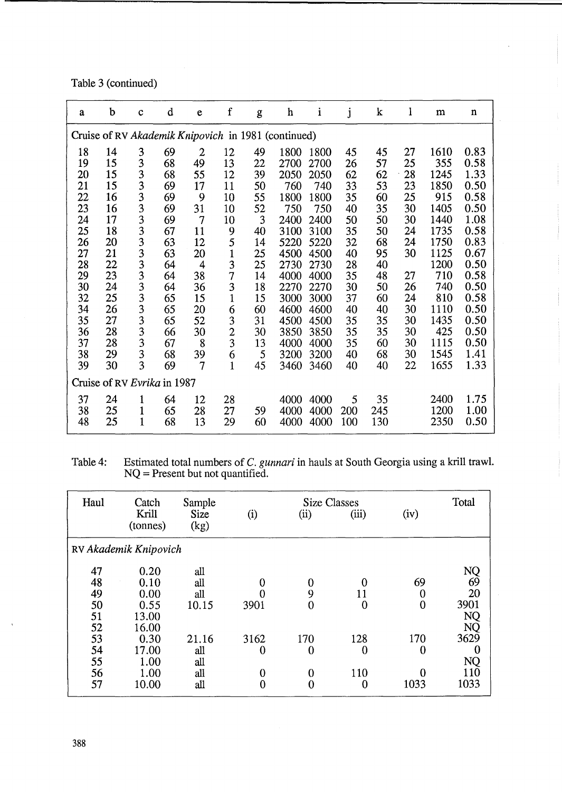Table 3 (continued)

| a  | b  | $\mathbf c$                 | d  | e              | $\mathbf f$    | g  | h                                                   | $\mathbf{i}$ | j   | $\bf k$ | 1  | m    | $\mathbf n$ |
|----|----|-----------------------------|----|----------------|----------------|----|-----------------------------------------------------|--------------|-----|---------|----|------|-------------|
|    |    |                             |    |                |                |    | Cruise of RV Akademik Knipovich in 1981 (continued) |              |     |         |    |      |             |
| 18 | 14 | 3                           | 69 | $\overline{2}$ | 12             | 49 | 1800                                                | 1800         | 45  | 45      | 27 | 1610 | 0.83        |
| 19 | 15 | 3                           | 68 | 49             | 13             | 22 | 2700                                                | 2700         | 26  | 57      | 25 | 355  | 0.58        |
| 20 | 15 | 3                           | 68 | 55             | 12             | 39 | 2050                                                | 2050         | 62  | 62      | 28 | 1245 | 1.33        |
| 21 | 15 | 3                           | 69 | 17             | 11             | 50 | 760                                                 | 740          | 33  | 53      | 23 | 1850 | 0.50        |
| 22 | 16 | 3                           | 69 | 9              | 10             | 55 | 1800                                                | 1800         | 35  | 60      | 25 | 915  | 0.58        |
| 23 | 16 | 3                           | 69 | 31             | 10             | 52 | 750                                                 | 750          | 40  | 35      | 30 | 1405 | 0.50        |
| 24 | 17 | $\overline{\mathbf{3}}$     | 69 | $\overline{7}$ | 10             | 3  | 2400                                                | 2400         | 50  | 50      | 30 | 1440 | 1.08        |
| 25 | 18 | 3                           | 67 | 11             | 9              | 40 | 3100                                                | 3100         | 35  | 50      | 24 | 1735 | 0.58        |
| 26 | 20 | 3                           | 63 | 12             | 5              | 14 | 5220                                                | 5220         | 32  | 68      | 24 | 1750 | 0.83        |
| 27 | 21 | 3                           | 63 | 20             | $\mathbf{1}$   | 25 | 4500                                                | 4500         | 40  | 95      | 30 | 1125 | 0.67        |
| 28 | 22 | 3                           | 64 | 4              | 3              | 25 | 2730                                                | 2730         | 28  | 40      |    | 1200 | 0.50        |
| 29 | 23 | 3                           | 64 | 38             | $\overline{7}$ | 14 | 4000                                                | 4000         | 35  | 48      | 27 | 710  | 0.58        |
| 30 | 24 | 3                           | 64 | 36             | 3              | 18 | 2270                                                | 2270         | 30  | 50      | 26 | 740  | 0.50        |
| 32 | 25 | 3                           | 65 | 15             | $\mathbf 1$    | 15 | 3000                                                | 3000         | 37  | 60      | 24 | 810  | 0.58        |
| 34 | 26 | 3                           | 65 | 20             | 6              | 60 | 4600                                                | 4600         | 40  | 40      | 30 | 1110 | 0.50        |
| 35 | 27 | 3                           | 65 | 52             | 3              | 31 | 4500                                                | 4500         | 35  | 35      | 30 | 1435 | 0.50        |
| 36 | 28 | 3                           | 66 | 30             | $\overline{c}$ | 30 | 3850                                                | 3850         | 35  | 35      | 30 | 425  | 0.50        |
| 37 | 28 | $\frac{3}{3}$               | 67 | 8              | 3              | 13 | 4000                                                | 4000         | 35  | 60      | 30 | 1115 | 0.50        |
| 38 | 29 |                             | 68 | 39             | 6              | 5  | 3200                                                | 3200         | 40  | 68      | 30 | 1545 | 1.41        |
| 39 | 30 | 3                           | 69 | $\overline{7}$ | $\mathbf{1}$   | 45 | 3460                                                | 3460         | 40  | 40      | 22 | 1655 | 1.33        |
|    |    | Cruise of RV Evrika in 1987 |    |                |                |    |                                                     |              |     |         |    |      |             |
| 37 | 24 | 1                           | 64 | 12             | 28             |    | 4000                                                | 4000         | 5   | 35      |    | 2400 | 1.75        |
| 38 | 25 | $\mathbf{1}$                | 65 | 28             | 27             | 59 | 4000                                                | 4000         | 200 | 245     |    | 1200 | 1.00        |
| 48 | 25 | $\mathbf 1$                 | 68 | 13             | 29             | 60 | 4000                                                | 4000         | 100 | 130     |    | 2350 | 0.50        |

Table 4: Estimated total numbers of C. *gunnari* in hauls at South Georgia using a kriU trawl. NQ = Present but not quantified.

| Haul | Catch                 | Sample       |                |             | <b>Size Classes</b> |          | Total     |
|------|-----------------------|--------------|----------------|-------------|---------------------|----------|-----------|
|      | Krill<br>(tonnes)     | Size<br>(kg) | (i)            | (ii)        | (iii)               | (iv)     |           |
|      | RV Akademik Knipovich |              |                |             |                     |          |           |
| 47   | 0.20                  | all          |                |             |                     |          |           |
| 48   | 0.10                  | all          | $\bf{0}$       | $\bf{0}$    | 0                   | 69       | NQ<br>69  |
| 49   | 0.00                  | all          | 0              | 9           | 11                  | $\bf{0}$ | 20        |
| 50   | 0.55                  | 10.15        | 3901           | $\bf{0}$    | $\mathbf 0$         | $\bf{0}$ | 3901      |
| 51   | 13.00                 |              |                |             |                     |          | <b>NQ</b> |
| 52   | 16.00                 |              |                |             |                     |          | NQ        |
| 53   | 0.30                  | 21.16        | 3162           | 170         | 128                 | 170      | 3629      |
| 54   | 17.00                 | all          | $\bf{0}$       | $\bf{0}$    | $\bf{0}$            | $\bf{0}$ | 0         |
| 55   | 1.00                  | all          |                |             |                     |          | NQ        |
| 56   | 1.00                  | all          | $\bf{0}$       | $\mathbf 0$ | 110                 | $\Omega$ | 110       |
| 57   | 10.00                 | all          | $\overline{0}$ | 0           | $\overline{0}$      | 1033     | 1033      |

 $\bar{\lambda}$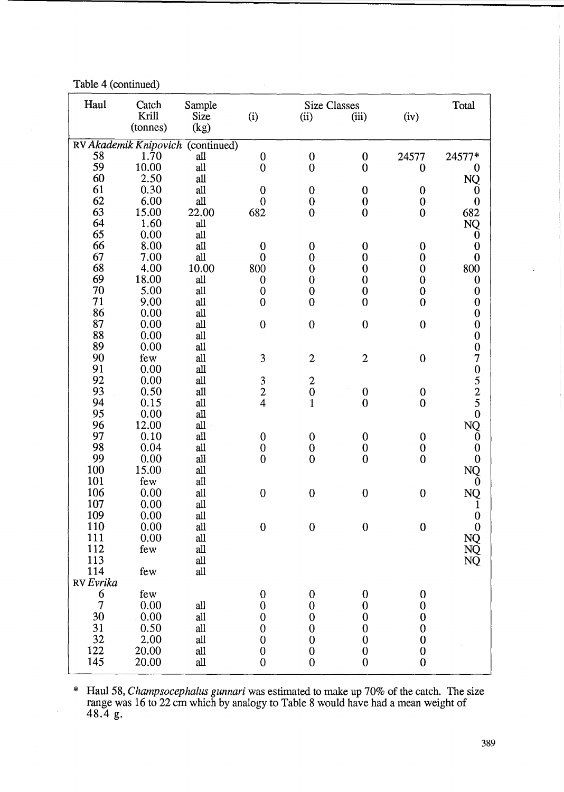Table 4 (continued)

| Haul          | Catch                 | Sample                   |                                            | <b>Size Classes</b> |                  |                  | Total                                                                                        |
|---------------|-----------------------|--------------------------|--------------------------------------------|---------------------|------------------|------------------|----------------------------------------------------------------------------------------------|
|               | Krill                 | Size                     | (i)                                        | (ii)                | (iii)            | (iv)             |                                                                                              |
|               | (tonnes)              | (kg)                     |                                            |                     |                  |                  |                                                                                              |
|               | RV Akademik Knipovich | $\overline{(continued)}$ |                                            |                     |                  |                  |                                                                                              |
| 58            | 1.70                  | all                      | $\bf{0}$                                   | $\boldsymbol{0}$    | $\mathbf 0$      | 24577            | 24577*                                                                                       |
| 59            | 10.00                 | all                      | $\mathbf{0}$                               | $\mathbf{0}$        | $\mathbf 0$      | $\bf{0}$         | 0                                                                                            |
| 60            | 2.50                  | all                      |                                            |                     |                  |                  | NQ                                                                                           |
| 61            | 0.30                  | all                      | $\boldsymbol{0}$                           | $\boldsymbol{0}$    | $\bf{0}$         | $\bf{0}$         | $\bf{0}$                                                                                     |
| 62            | 6.00                  | all                      | $\mathbf{0}$                               | $\boldsymbol{0}$    | $\boldsymbol{0}$ | $\boldsymbol{0}$ |                                                                                              |
| 63            | 15.00                 | 22.00                    | 682                                        | $\overline{0}$      | $\bf{0}$         | $\bf{0}$         | $\overline{0}$<br>682                                                                        |
| 64            | 1.60                  | all                      |                                            |                     |                  |                  | NQ                                                                                           |
| 65            | 0.00                  | all                      |                                            |                     |                  |                  | $\boldsymbol{0}$                                                                             |
| 66            | 8.00                  | all                      | $\boldsymbol{0}$                           | $\boldsymbol{0}$    | $\boldsymbol{0}$ | $\bf{0}$         | $\boldsymbol{0}$                                                                             |
| 67            | 7.00                  | all                      | $\mathbf{0}$                               | $\overline{0}$      | $\mathbf 0$      | $\bf{0}$         | $\overline{0}$                                                                               |
| 68            | 4.00                  | 10.00                    | 800                                        | $\mathbf{0}$        | $\mathbf 0$      | $\mathbf 0$      | 800                                                                                          |
| 69            | 18.00                 | all                      | $\boldsymbol{0}$                           | $\mathbf{0}$        | $\mathbf 0$      | $\mathbf 0$      | $\bf{0}$                                                                                     |
| 70            | 5.00                  | all                      | $\mathbf{0}$                               | $\mathbf 0$         | $\boldsymbol{0}$ | $\mathbf 0$      | $\boldsymbol{0}$                                                                             |
| 71            | 9.00                  | all                      | $\boldsymbol{0}$                           | $\overline{0}$      | $\overline{0}$   | $\boldsymbol{0}$ | $\overline{0}$                                                                               |
| 86            | 0.00                  | all                      |                                            |                     |                  |                  |                                                                                              |
| 87            | 0.00                  | all                      | $\boldsymbol{0}$                           | $\boldsymbol{0}$    | $\boldsymbol{0}$ | $\boldsymbol{0}$ | 0000705250                                                                                   |
| 88            | 0.00                  | all                      |                                            |                     |                  |                  |                                                                                              |
| 89            | 0.00                  | all                      |                                            |                     |                  |                  |                                                                                              |
| 90            | few                   | all                      | 3                                          | $\overline{2}$      | $\mathbf{2}$     | $\mathbf 0$      |                                                                                              |
| 91            | 0.00                  | all                      |                                            |                     |                  |                  |                                                                                              |
| 92            | 0.00                  | all                      |                                            | $\boldsymbol{2}$    |                  |                  |                                                                                              |
| 93            | 0.50                  | all                      |                                            | $\mathbf 0$         | $\boldsymbol{0}$ | $\boldsymbol{0}$ |                                                                                              |
| 94            | 0.15                  | all                      | $\begin{array}{c} 3 \\ 2 \\ 4 \end{array}$ | $\mathbf{1}$        | $\mathbf{0}$     | $\mathbf 0$      |                                                                                              |
| 95            | 0.00                  | all                      |                                            |                     |                  |                  |                                                                                              |
| 96            | 12.00                 | all                      |                                            |                     |                  |                  | NQ                                                                                           |
| 97            | 0.10                  | all                      | $\boldsymbol{0}$                           | $\boldsymbol{0}$    | $\mathbf 0$      | $\mathbf 0$      |                                                                                              |
| 98            | 0.04                  | all                      | $\mathbf{0}$                               | $\mathbf{0}$        | $\mathbf 0$      | $\mathbf 0$      | $\begin{matrix} 0 \\ 0 \\ 0 \end{matrix}$                                                    |
| 99            | 0.00                  | all                      | $\boldsymbol{0}$                           | $\overline{0}$      | $\mathbf{0}$     | $\mathbf{0}$     |                                                                                              |
| 100           | 15.00                 | all                      |                                            |                     |                  |                  | <b>NQ</b>                                                                                    |
| 101           | few                   | all                      |                                            |                     |                  |                  | $\Omega$                                                                                     |
| 106           | 0.00                  | all                      | $\mathbf 0$                                | $\boldsymbol{0}$    | $\mathbf 0$      | $\boldsymbol{0}$ | NQ                                                                                           |
| 107           | 0.00                  | all                      |                                            |                     |                  |                  |                                                                                              |
| 109           | 0.00                  | all                      |                                            |                     |                  |                  | $\bf{0}$                                                                                     |
| 110           | 0.00                  | all                      | $\mathbf 0$                                | $\boldsymbol{0}$    | $\boldsymbol{0}$ | $\mathbf{0}$     |                                                                                              |
| 111           | 0.00                  | all                      |                                            |                     |                  |                  |                                                                                              |
| 112           | few                   | all                      |                                            |                     |                  |                  |                                                                                              |
| 113           |                       | all                      |                                            |                     |                  |                  | $\begin{smallmatrix} &0\ {\rm NQ}\ {\rm NQ}\ {\rm NQ}\ {\rm NQ}\ {\rm NQ} \end{smallmatrix}$ |
| 114           | few                   | all                      |                                            |                     |                  |                  |                                                                                              |
| RV Evrika     |                       |                          |                                            |                     |                  |                  |                                                                                              |
|               | few                   |                          | $\boldsymbol{0}$                           | $\boldsymbol{0}$    | $\boldsymbol{0}$ | $\bf{0}$         |                                                                                              |
| $\frac{6}{7}$ | 0.00                  | all                      | $\boldsymbol{0}$                           | $\boldsymbol{0}$    | $\boldsymbol{0}$ | $\boldsymbol{0}$ |                                                                                              |
| 30            | 0.00                  | all                      | $\boldsymbol{0}$                           | $\boldsymbol{0}$    | $\mathbf 0$      | $\boldsymbol{0}$ |                                                                                              |
| 31            | 0.50                  | all                      | $\boldsymbol{0}$                           | $\boldsymbol{0}$    | $\boldsymbol{0}$ | $\boldsymbol{0}$ |                                                                                              |
| 32            | 2.00                  | all                      | $\mathbf 0$                                | $\boldsymbol{0}$    | $\mathbf 0$      | $\boldsymbol{0}$ |                                                                                              |
| 122           | 20.00                 | all                      | $\boldsymbol{0}$                           | $\boldsymbol{0}$    | $\boldsymbol{0}$ | $\boldsymbol{0}$ |                                                                                              |
| 145           | 20.00                 | all                      | $\mathbf{0}$                               | $\boldsymbol{0}$    | $\mathbf{0}$     | $\mathbf{0}$     |                                                                                              |
|               |                       |                          |                                            |                     |                  |                  |                                                                                              |

\* Haul 58, *Champsocephalus gunnari* was estimated to make up 70% of the catch. The size range was 16 to 22 cm which by analogy to Table 8 would have had a mean weight of 48.4 g.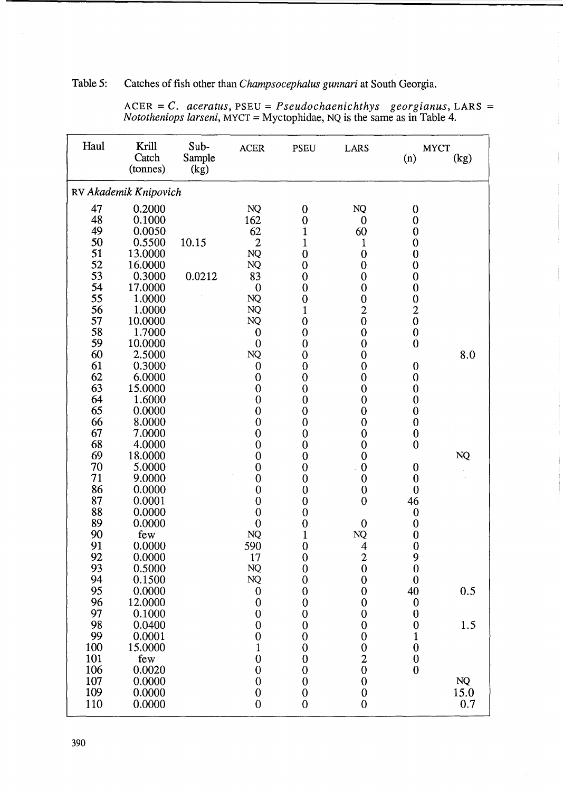# Table 5: Catches of fish other than *Champsocephalus gunnari* at South Georgia.

| Haul     | Krill<br>Catch<br>(tonnes) | Sub-<br>Sample<br>(kg) | <b>ACER</b>                          | <b>PSEU</b>                          | <b>LARS</b>                                | (n)              | <b>MYCT</b><br>(kg) |
|----------|----------------------------|------------------------|--------------------------------------|--------------------------------------|--------------------------------------------|------------------|---------------------|
|          | RV Akademik Knipovich      |                        |                                      |                                      |                                            |                  |                     |
| 47       | 0.2000                     |                        | <b>NQ</b>                            | $\bf{0}$                             | NQ                                         | $\mathbf 0$      |                     |
| 48       | 0.1000                     |                        | 162                                  | $\boldsymbol{0}$                     | $\boldsymbol{0}$                           | $\mathbf 0$      |                     |
| 49       | 0.0050                     |                        | 62                                   | $\mathbf{1}$                         | 60                                         | $\bf{0}$         |                     |
| 50       | 0.5500                     | 10.15                  | $\overline{2}$                       | $\mathbf 1$                          | 1                                          | $\bf{0}$         |                     |
| 51       | 13.0000                    |                        | $\rm NQ$                             | $\boldsymbol{0}$                     | $\bf{0}$                                   | $\bf{0}$         |                     |
| 52       | 16.0000                    |                        | NQ                                   | $\boldsymbol{0}$                     | $\bf{0}$                                   | $\boldsymbol{0}$ |                     |
| 53       | 0.3000                     | 0.0212                 | 83                                   | $\boldsymbol{0}$                     | $\mathbf 0$                                | $\boldsymbol{0}$ |                     |
| 54       | 17.0000                    |                        | $\boldsymbol{0}$                     | $\overline{0}$                       | $\mathbf 0$                                | $\bf{0}$         |                     |
| 55       | 1.0000                     |                        | NQ                                   | $\boldsymbol{0}$                     | $\boldsymbol{0}$                           | $\boldsymbol{0}$ |                     |
| 56       | 1.0000                     |                        | <b>NQ</b>                            | $\mathbf 1$                          | $\overline{c}$                             | $\overline{c}$   |                     |
| 57       | 10.0000                    |                        | $\rm NQ$                             | $\boldsymbol{0}$                     | $\mathbf{0}$                               | $\mathbf{0}$     |                     |
| 58       | 1.7000                     |                        | $\mathbf 0$                          | $\overline{0}$                       | $\bf{0}$                                   | $\bf{0}$         |                     |
| 59       | 10.0000                    |                        | $\mathbf 0$                          | $\boldsymbol{0}$                     | $\boldsymbol{0}$                           | $\bf{0}$         |                     |
| 60       | 2.5000                     |                        | <b>NQ</b>                            | $\boldsymbol{0}$                     | $\bf{0}$                                   |                  | 8.0                 |
| 61       | 0.3000                     |                        | $\mathbf 0$                          | $\boldsymbol{0}$                     | $\boldsymbol{0}$                           | $\mathbf 0$      |                     |
| 62       | 6.0000                     |                        | $\boldsymbol{0}$                     | $\overline{0}$                       | $\boldsymbol{0}$                           | $\mathbf 0$      |                     |
| 63       | 15.0000                    |                        | $\boldsymbol{0}$                     | $\boldsymbol{0}$                     | $\boldsymbol{0}$                           | $\boldsymbol{0}$ |                     |
| 64       | 1.6000                     |                        | $\mathbf 0$                          | $\boldsymbol{0}$                     | $\mathbf{0}$                               | $\mathbf 0$      |                     |
| 65       | 0.0000                     |                        | $\boldsymbol{0}$                     | $\boldsymbol{0}$                     | $\bf{0}$                                   | $\boldsymbol{0}$ |                     |
| 66       | 8.0000                     |                        | $\mathbf{0}$                         | $\boldsymbol{0}$                     | $\boldsymbol{0}$                           | $\boldsymbol{0}$ |                     |
| 67<br>68 | 7.0000                     |                        | $\boldsymbol{0}$                     | $\boldsymbol{0}$                     | $\boldsymbol{0}$                           | $\bf{0}$         |                     |
| 69       | 4.0000<br>18.0000          |                        | $\boldsymbol{0}$                     | $\boldsymbol{0}$                     | $\boldsymbol{0}$                           | $\mathbf 0$      | <b>NQ</b>           |
| 70       | 5.0000                     |                        | $\boldsymbol{0}$<br>$\boldsymbol{0}$ | $\boldsymbol{0}$                     | $\boldsymbol{0}$<br>$\mathbf 0$            | $\boldsymbol{0}$ |                     |
| 71       | 9.0000                     |                        | $\boldsymbol{0}$                     | $\boldsymbol{0}$<br>$\boldsymbol{0}$ | $\boldsymbol{0}$                           | $\boldsymbol{0}$ |                     |
| 86       | 0.0000                     |                        | $\mathbf{0}$                         | $\overline{0}$                       | $\boldsymbol{0}$                           | $\mathbf 0$      |                     |
| 87       | 0.0001                     |                        | $\mathbf{0}$                         | $\overline{0}$                       | $\boldsymbol{0}$                           | 46               |                     |
| 88       | 0.0000                     |                        | $\mathbf 0$                          | $\overline{0}$                       |                                            | $\boldsymbol{0}$ |                     |
| 89       | 0.0000                     |                        | $\boldsymbol{0}$                     | $\boldsymbol{0}$                     | $\mathbf{0}$                               | $\boldsymbol{0}$ |                     |
| 90       | few                        |                        | <b>NQ</b>                            | $\mathbf{1}$                         | NQ                                         | $\bf{0}$         |                     |
| 91       | 0.0000                     |                        | 590                                  | $\overline{0}$                       | $\overline{4}$                             | $\mathbf{0}$     |                     |
| 92       | 0.0000                     |                        | 17                                   | $\boldsymbol{0}$                     |                                            | 9                |                     |
| 93       | 0.5000                     |                        | <b>NQ</b>                            | $\boldsymbol{0}$                     | $\begin{matrix} 2 \\ 0 \end{matrix}$       | $\boldsymbol{0}$ |                     |
| 94       | 0.1500                     |                        | $\rm NQ$                             | $\boldsymbol{0}$                     | $\boldsymbol{0}$                           | $\mathbf 0$      |                     |
| 95       | 0.0000                     |                        | $\boldsymbol{0}$                     | $\boldsymbol{0}$                     | $\boldsymbol{0}$                           | 40               | 0.5                 |
| 96       | 12.0000                    |                        | $\boldsymbol{0}$                     | $\begin{matrix} 0 \\ 0 \end{matrix}$ | $\boldsymbol{0}$                           | $\boldsymbol{0}$ |                     |
| 97       | 0.1000                     |                        | $\boldsymbol{0}$                     |                                      | $\mathbf 0$                                | $\boldsymbol{0}$ |                     |
| 98       | 0.0400                     |                        | $\overline{0}$                       |                                      | $\boldsymbol{0}$                           | $\boldsymbol{0}$ | 1.5                 |
| 99       | 0.0001                     |                        | $\boldsymbol{0}$                     |                                      | $\boldsymbol{0}$                           | $\mathbf 1$      |                     |
| 100      | 15.0000                    |                        | $\mathbf{1}$                         |                                      | $\begin{array}{c} 0 \\ 2 \\ 0 \end{array}$ | $\boldsymbol{0}$ |                     |
| 101      | few                        |                        | $\overline{0}$                       |                                      |                                            | $\boldsymbol{0}$ |                     |
| 106      | 0.0020                     |                        | $\boldsymbol{0}$                     |                                      |                                            | $\mathbf{0}$     |                     |
| 107      | 0.0000                     |                        | $\overline{0}$                       | $\boldsymbol{0}$                     | $\boldsymbol{0}$                           |                  | NQ                  |
| 109      | 0.0000                     |                        | $\mathbf 0$                          | $\overline{0}$                       | $\boldsymbol{0}$                           |                  | 15.0                |
| 110      | 0.0000                     |                        | $\overline{0}$                       | $\boldsymbol{0}$                     | $\mathbf{0}$                               |                  | 0.7                 |

ACER = C. *aceratus,* PSEU = *Pseudochaenichthys georgianus,* LARS = *Nototheniops larseni,* MYCT = Myctophidae, NQ is the same as in Table 4.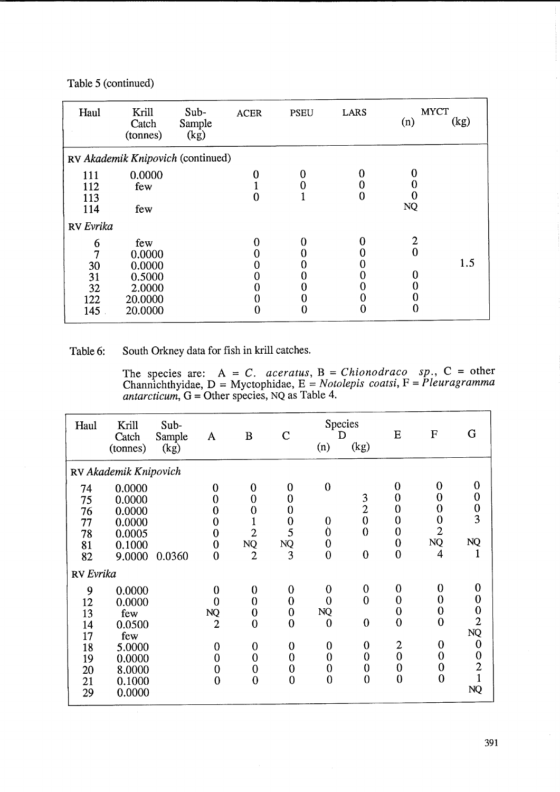Table 5 (continued)

| Haul      | Krill<br>Catch<br>(tonnes)        | Sub-<br>Sample<br>(kg) | <b>ACER</b> | <b>PSEU</b>      | <b>LARS</b> | <b>MYCT</b><br>(n) | (kg) |
|-----------|-----------------------------------|------------------------|-------------|------------------|-------------|--------------------|------|
|           | RV Akademik Knipovich (continued) |                        |             |                  |             |                    |      |
| 111       | 0.0000                            |                        |             |                  |             | 0                  |      |
| 112       | few                               |                        |             |                  |             |                    |      |
| 113       |                                   |                        |             |                  |             |                    |      |
| 114       | few                               |                        |             |                  |             | <b>NQ</b>          |      |
| RV Evrika |                                   |                        |             |                  |             |                    |      |
| 6         | few                               |                        |             |                  |             | $\mathbf{2}$       |      |
|           | 0.0000                            |                        |             |                  |             | $\mathbf{0}$       |      |
| 30        | 0.0000                            |                        |             |                  |             |                    | 1.5  |
| 31        | 0.5000                            |                        |             | 0                |             |                    |      |
| 32        | 2.0000                            |                        |             | $\boldsymbol{0}$ |             | U                  |      |
| 122       | 20.0000                           |                        |             | 0                |             | 0                  |      |
| 145       | 20.0000                           |                        |             | 0                |             | 0                  |      |

Table 6: South Orkney data for fish in krill catches.

The species are:  $A = C$ . *aceratus*,  $B = Chionodraco$  sp.,  $C = other$ Channichthyidae, D = Myctophidae, E = *Notolepis coatsi,* F = *Pleuragramma antarcticum,* G = Other species, NQ as Table 4.

| Haul                                                    | Krill<br>Catch<br>(tonnes)                                                                 | Sub-<br>Sample<br>(kg) | A                                                                                                                                 | B                                                                                                                     | $\mathcal{C}$                                                                                                                               | (n)                                                                                                                           | Species<br>D<br>(kg)                                                                                             | E                                                                                                                                   | $\mathbf F$                                                                                                    | G                                                                                                              |
|---------------------------------------------------------|--------------------------------------------------------------------------------------------|------------------------|-----------------------------------------------------------------------------------------------------------------------------------|-----------------------------------------------------------------------------------------------------------------------|---------------------------------------------------------------------------------------------------------------------------------------------|-------------------------------------------------------------------------------------------------------------------------------|------------------------------------------------------------------------------------------------------------------|-------------------------------------------------------------------------------------------------------------------------------------|----------------------------------------------------------------------------------------------------------------|----------------------------------------------------------------------------------------------------------------|
|                                                         | RV Akademik Knipovich                                                                      |                        |                                                                                                                                   |                                                                                                                       |                                                                                                                                             |                                                                                                                               |                                                                                                                  |                                                                                                                                     |                                                                                                                |                                                                                                                |
| 74<br>75<br>76<br>77<br>78<br>81<br>82                  | 0.0000<br>0.0000<br>0.0000<br>0.0000<br>0.0005<br>0.1000<br>9.0000                         | 0.0360                 | 0<br>$\overline{0}$<br>$\bf{0}$<br>$\mathbf 0$<br>$\bf{0}$<br>$\mathbf{0}$<br>$\boldsymbol{0}$                                    | $\bf{0}$<br>$\mathbf{0}$<br>$\bf{0}$<br>$\overline{2}$<br><b>NQ</b><br>$\overline{2}$                                 | 0<br>$\overline{0}$<br>$\overline{0}$<br>$\mathbf 0$<br>5<br>NQ<br>3                                                                        | $\boldsymbol{0}$<br>$\boldsymbol{0}$<br>Ò<br>$\bf{0}$<br>$\overline{0}$                                                       | 3<br>$\overline{c}$<br>$\overline{0}$<br>$\boldsymbol{0}$<br>$\overline{0}$                                      | 0<br>$\overline{0}$<br>0<br>0<br>$\bf{0}$<br>$\mathbf 0$<br>$\mathbf 0$                                                             | $\bf{0}$<br>$\bf{0}$<br>0<br>0<br>$\overline{2}$<br><b>NQ</b><br>$\overline{4}$                                | $\boldsymbol{0}$<br>$\begin{matrix}0\\0\\3\end{matrix}$<br><b>NQ</b><br>$\mathbf{1}$                           |
| RV Evrika                                               |                                                                                            |                        |                                                                                                                                   |                                                                                                                       |                                                                                                                                             |                                                                                                                               |                                                                                                                  |                                                                                                                                     |                                                                                                                |                                                                                                                |
| 9<br>12<br>13<br>14<br>17<br>18<br>19<br>20<br>21<br>29 | 0.0000<br>0.0000<br>few<br>0.0500<br>few<br>5.0000<br>0.0000<br>8.0000<br>0.1000<br>0.0000 |                        | $\bf{0}$<br>$\overline{0}$<br>$\rm NQ$<br>$\overline{2}$<br>$\boldsymbol{0}$<br>$\mathbf 0$<br>$\boldsymbol{0}$<br>$\overline{0}$ | $\bf{0}$<br>$\overline{0}$<br>$\bf{0}$<br>$\overline{0}$<br>0<br>$\overline{0}$<br>$\boldsymbol{0}$<br>$\overline{0}$ | $\boldsymbol{0}$<br>$\mathbf 0$<br>$\mathbf{0}$<br>$\mathbf{0}$<br>$\boldsymbol{0}$<br>$\overline{0}$<br>$\boldsymbol{0}$<br>$\overline{0}$ | $\boldsymbol{0}$<br>$\overline{0}$<br><b>NQ</b><br>$\overline{0}$<br>$\bf{0}$<br>$\bf{0}$<br>$\boldsymbol{0}$<br>$\mathbf{0}$ | $\boldsymbol{0}$<br>$\overline{0}$<br>$\mathbf 0$<br>$\bf{0}$<br>$\mathbf 0$<br>$\boldsymbol{0}$<br>$\mathbf{0}$ | $\bf{0}$<br>$\mathbf 0$<br>$\boldsymbol{0}$<br>$\overline{0}$<br>$\overline{c}$<br>$\overline{0}$<br>$\mathbf{0}$<br>$\overline{0}$ | $\bf{0}$<br>$\bf{0}$<br>$\bf{0}$<br>$\overline{0}$<br>$\bf{0}$<br>$\mathbf 0$<br>$\mathbf 0$<br>$\overline{0}$ | 0<br>$\begin{smallmatrix}0\0\0\2\end{smallmatrix}$<br>NQ<br>$\bf{0}$<br>$\begin{matrix}0\\2\end{matrix}$<br>NQ |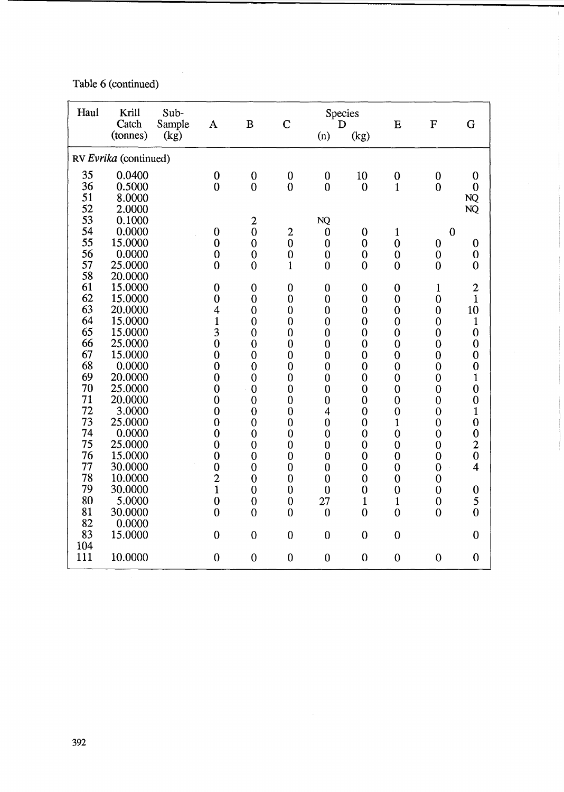Table 6 (continued)

| Haul     | Krill<br>Catch        | Sub-<br>Sample | $\mathbf{A}$   | $\bf{B}$       | $\overline{C}$   | D                        | Species        | E                | $\mathbf F$      | G                                          |
|----------|-----------------------|----------------|----------------|----------------|------------------|--------------------------|----------------|------------------|------------------|--------------------------------------------|
|          | (tonnes)              | (kg)           |                |                |                  | (n)                      | (kg)           |                  |                  |                                            |
|          | RV Evrika (continued) |                |                |                |                  |                          |                |                  |                  |                                            |
| 35       | 0.0400                |                | $\bf{0}$       | $\mathbf 0$    | $\mathbf 0$      | $\boldsymbol{0}$         | 10             | $\mathbf{0}$     | $\boldsymbol{0}$ | $\boldsymbol{0}$                           |
| 36       | 0.5000                |                | $\mathbf 0$    | $\overline{0}$ | $\overline{0}$   | $\mathbf{0}$             | $\bf{0}$       | $\mathbf{1}$     | $\overline{0}$   | $\bf{0}$                                   |
| 51       | 8.0000                |                |                |                |                  |                          |                |                  |                  | <b>NQ</b>                                  |
| 52       | 2.0000                |                |                |                |                  |                          |                |                  |                  | <b>NQ</b>                                  |
| 53       | 0.1000                |                |                | $\overline{2}$ |                  | <b>NQ</b>                |                |                  |                  |                                            |
| 54       | 0.0000                |                | $\mathbf 0$    | $\overline{0}$ | $\overline{c}$   | $\bf{0}$                 | $\mathbf 0$    | $\mathbf{1}$     | $\overline{0}$   |                                            |
| 55       | 15.0000               |                | $\mathbf 0$    | $\mathbf 0$    | $\overline{0}$   | $\boldsymbol{0}$         | $\mathbf 0$    | $\mathbf 0$      | $\boldsymbol{0}$ | $\boldsymbol{0}$                           |
| 56       | 0.0000                |                | $\mathbf 0$    | $\bf{0}$       | $\bf{0}$         | $\bf{0}$                 | $\bf{0}$       | $\mathbf 0$      | $\mathbf 0$      | $\bf{0}$                                   |
| 57       | 25.0000               |                | $\overline{0}$ | $\overline{0}$ | $\mathbf{1}$     | $\mathbf{0}$             | $\mathbf 0$    | $\mathbf{0}$     | $\mathbf{0}$     | $\bf{0}$                                   |
| 58       | 20.0000               |                |                |                |                  |                          |                |                  |                  |                                            |
| 61       | 15.0000               |                | $\bf{0}$       | $\mathbf 0$    | $\boldsymbol{0}$ | $\boldsymbol{0}$         | $\mathbf 0$    | $\boldsymbol{0}$ | $\mathbf{1}$     | $\frac{2}{1}$                              |
| 62       | 15.0000               |                | $\bf{0}$       | $\bf{0}$       | $\mathbf 0$      | $\mathbf 0$              | $\mathbf 0$    | $\mathbf 0$      | $\mathbf 0$      |                                            |
| 63       | 20.0000               |                | 4              | $\mathbf 0$    | $\mathbf 0$      | $\mathbf 0$              | $\mathbf 0$    | $\boldsymbol{0}$ | $\bf{0}$         | 10                                         |
| 64       | 15.0000               |                | $\mathbf{1}$   | $\overline{0}$ | $\mathbf 0$      | $\mathbf{0}$             | $\mathbf{0}$   | $\mathbf 0$      | $\mathbf 0$      | $\mathbf{1}$                               |
| 65       | 15.0000               |                | 3              | $\mathbf 0$    | $\mathbf 0$      | $\boldsymbol{0}$         | $\mathbf 0$    | $\overline{0}$   | $\mathbf 0$      | $\bf{0}$                                   |
| 66       | 25.0000               |                | $\mathbf 0$    | $\mathbf 0$    | $\overline{0}$   | $\mathbf{0}$             | $\overline{0}$ | $\mathbf 0$      | $\mathbf 0$      | $\boldsymbol{0}$                           |
| 67       | 15.0000               |                | $\bf{0}$       | $\mathbf 0$    | $\mathbf{0}$     | $\boldsymbol{0}$         | $\mathbf 0$    | $\boldsymbol{0}$ | $\mathbf 0$      | $\boldsymbol{0}$                           |
| 68       | 0.0000                |                | $\bf{0}$       | $\mathbf{0}$   | $\bf{0}$         | $\mathbf{0}$             | $\theta$       | $\mathbf 0$      | $\bf{0}$         | $\boldsymbol{0}$                           |
| 69       | 20.0000               |                | $\mathbf 0$    | $\mathbf 0$    | $\bf{0}$         | $\boldsymbol{0}$         | $\bf{0}$       | $\mathbf 0$      | $\mathbf{0}$     | $\mathbf{1}$                               |
| 70       | 25.0000               |                | $\mathbf{0}$   | $\bf{0}$       | $\bf{0}$         | $\mathbf{0}$             | $\bf{0}$       | $\mathbf 0$      | $\overline{0}$   | $\boldsymbol{0}$                           |
| 71       | 20.0000               |                | $\mathbf 0$    | $\mathbf{0}$   | $\mathbf{0}$     | $\boldsymbol{0}$         | $\mathbf 0$    | $\boldsymbol{0}$ | $\mathbf 0$      | $\boldsymbol{0}$                           |
| 72       | 3.0000                |                | $\bf{0}$       | $\mathbf{0}$   | $\mathbf 0$      | $\overline{\mathcal{A}}$ | $\mathbf 0$    | $\mathbf 0$      | $\overline{0}$   | $\mathbf{1}$                               |
| 73       | 25.0000               |                | $\mathbf 0$    | $\mathbf 0$    | $\mathbf{0}$     | $\mathbf{0}$             | $\mathbf{0}$   | $\mathbf{1}$     | $\mathbf 0$      | $\boldsymbol{0}$                           |
| 74       | 0.0000                |                | $\mathbf 0$    | $\mathbf 0$    | $\mathbf{0}$     | $\mathbf{0}$             | $\bf{0}$       | $\overline{0}$   | $\mathbf 0$      | $\begin{array}{c} 0 \\ 2 \\ 0 \end{array}$ |
| 75       | 25.0000               |                | $\mathbf 0$    | $\mathbf 0$    | $\overline{0}$   | $\mathbf 0$              | $\mathbf 0$    | $\mathbf 0$      | $\mathbf 0$      |                                            |
| 76<br>77 | 15.0000               |                | $\bf{0}$       | $\overline{0}$ | $\overline{0}$   | $\mathbf{0}$             | $\mathbf{0}$   | $\bf{0}$         | $\mathbf 0$      | $\overline{4}$                             |
| 78       | 30.0000               |                | $\mathbf 0$    | $\mathbf 0$    | $\overline{0}$   | $\overline{0}$           | $\overline{0}$ | $\mathbf 0$      | $\mathbf 0$      |                                            |
| 79       | 10.0000<br>30.0000    |                | $\overline{c}$ | $\mathbf{0}$   | $\boldsymbol{0}$ | $\mathbf 0$              | $\overline{0}$ | $\bf{0}$         | $\bf{0}$         |                                            |
| 80       |                       |                | $\mathbf{1}$   | $\mathbf 0$    | $\mathbf 0$      | $\mathbf{0}$             | $\mathbf{0}$   | $\mathbf 0$      | $\mathbf 0$      | $\begin{array}{c} 0 \\ 5 \end{array}$      |
| 81       | 5.0000                |                | $\mathbf 0$    | $\mathbf 0$    | $\theta$         | 27                       | $\mathbf{1}$   | $\mathbf{1}$     | $\mathbf 0$      | $\overline{0}$                             |
| 82       | 30.0000               |                | $\overline{0}$ | $\mathbf{0}$   | $\overline{0}$   | $\mathbf{0}$             | $\mathbf{0}$   | $\overline{0}$   | $\mathbf 0$      |                                            |
| 83       | 0.0000                |                | $\mathbf 0$    |                | $\overline{0}$   | $\overline{0}$           | $\overline{0}$ |                  |                  | $\mathbf 0$                                |
| 104      | 15.0000               |                |                | $\overline{0}$ |                  |                          |                | $\mathbf{0}$     |                  |                                            |
| 111      | 10.0000               |                | $\mathbf 0$    | $\overline{0}$ | $\mathbf 0$      | $\overline{0}$           | $\overline{0}$ | $\mathbf{0}$     | $\mathbf 0$      | $\mathbf 0$                                |

 $\sim 10^6$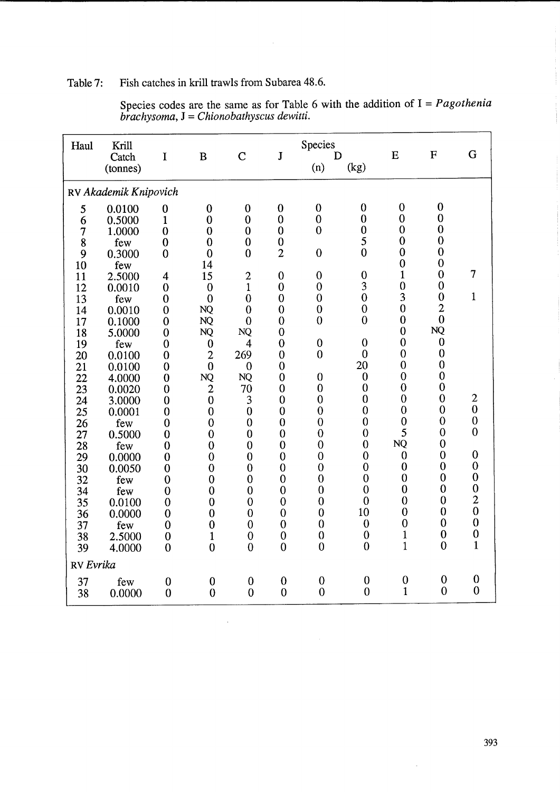# Table 7: Fish catches in krill trawls from Subarea 48.6.

| Haul     | Krill<br>Catch<br>(tonnes) | I                       | B                        | $\overline{C}$            | $\mathbf{J}$                | Species<br>(n)   | D<br>(kg)                      | E                              | $\mathbf F$                    | $\mathbf G$      |  |  |
|----------|----------------------------|-------------------------|--------------------------|---------------------------|-----------------------------|------------------|--------------------------------|--------------------------------|--------------------------------|------------------|--|--|
|          | RV Akademik Knipovich      |                         |                          |                           |                             |                  |                                |                                |                                |                  |  |  |
| 5        | 0.0100                     | $\mathbf 0$             | $\bf{0}$                 | $\bf{0}$                  | $\bf{0}$                    | $\boldsymbol{0}$ | $\boldsymbol{0}$               | $\boldsymbol{0}$               | $\boldsymbol{0}$               |                  |  |  |
| 6        | 0.5000                     | $\mathbf{1}$            | $\mathbf 0$              | $\bf{0}$                  | $\mathbf 0$                 | $\overline{0}$   | $\overline{0}$                 | $\mathbf{0}$                   | $\mathbf 0$                    |                  |  |  |
| 7        | 1.0000                     | $\overline{0}$          | $\mathbf{0}$             | $\bf{0}$                  | $\mathbf 0$                 | $\overline{0}$   | $\mathbf{0}$                   | $\mathbf{0}$                   | $\boldsymbol{0}$               |                  |  |  |
| 8        | few                        | $\bf{0}$                | $\bf{0}$                 | $\bf{0}$                  | $\bf{0}$                    |                  | 5                              | $\mathbf 0$                    | $\boldsymbol{0}$               |                  |  |  |
| 9        | 0.3000                     | $\mathbf 0$             | $\bf{0}$                 | $\mathbf{0}$              | $\overline{2}$              | $\mathbf{0}$     | $\mathbf 0$                    | $\overline{0}$                 | $\overline{0}$                 |                  |  |  |
| 10       | few                        |                         | 14                       |                           |                             |                  |                                | $\mathbf 0$                    | $\mathbf 0$                    |                  |  |  |
| 11       | 2.5000                     | $\overline{4}$          | 15                       | $\overline{c}$            | $\overline{0}$              | $\mathbf{0}$     | $\boldsymbol{0}$               | $\mathbf{1}$                   | $\mathbf{0}$                   | $\overline{7}$   |  |  |
| 12       | 0.0010                     | $\bf{0}$                | $\bf{0}$                 | $\mathbf{1}$              | $\overline{0}$              | $\boldsymbol{0}$ | 3                              | $\mathbf 0$                    | $\overline{0}$                 |                  |  |  |
| 13       | few                        | $\mathbf 0$             | $\overline{0}$           | $\overline{0}$            | $\overline{0}$              | $\overline{0}$   | $\boldsymbol{0}$               | 3                              | $\mathbf 0$                    | $\mathbf{1}$     |  |  |
| 14       | 0.0010                     | $\mathbf 0$             | <b>NQ</b>                | $\overline{0}$            | $\overline{0}$              | $\mathbf 0$      | $\mathbf{0}$                   | $\overline{0}$                 | $\overline{c}$<br>$\mathbf{0}$ |                  |  |  |
| 17       | 0.1000                     | $\bf{0}$                | <b>NQ</b>                | $\theta$                  | $\overline{0}$              | $\overline{0}$   | $\overline{0}$                 | $\overline{0}$                 | NQ                             |                  |  |  |
| 18       | 5.0000                     | $\mathbf 0$             | <b>NQ</b>                | NQ                        | $\mathbf 0$                 |                  |                                | $\overline{0}$<br>$\mathbf{0}$ | $\mathbf{0}$                   |                  |  |  |
| 19       | few                        | $\mathbf 0$             | $\boldsymbol{0}$         | $\overline{4}$            | $\mathbf 0$                 | $\boldsymbol{0}$ | $\mathbf{0}$<br>$\overline{0}$ | $\overline{0}$                 | $\mathbf{0}$                   |                  |  |  |
| 20       | 0.0100                     | $\bf{0}$                | $\overline{2}$           | 269                       | $\mathbf 0$                 | $\overline{0}$   | 20                             | $\mathbf{0}$                   | $\mathbf 0$                    |                  |  |  |
| 21       | 0.0100                     | $\mathbf 0$             | $\mathbf 0$<br><b>NQ</b> | $\mathbf{0}$<br><b>NQ</b> | $\mathbf 0$<br>$\mathbf{0}$ | $\mathbf{0}$     | $\boldsymbol{0}$               | $\mathbf 0$                    | $\mathbf 0$                    |                  |  |  |
| 22       | 4.0000                     | $\bf{0}$                | $\overline{2}$           | 70                        | $\mathbf{0}$                | $\mathbf{0}$     | $\mathbf 0$                    | $\overline{0}$                 | $\mathbf 0$                    |                  |  |  |
| 23<br>24 | 0.0020<br>3.0000           | $\bf{0}$<br>$\mathbf 0$ | $\overline{0}$           | 3                         | $\mathbf 0$                 | $\overline{0}$   | $\mathbf 0$                    | $\mathbf{0}$                   | $\mathbf{0}$                   | $\boldsymbol{2}$ |  |  |
| 25       | 0.0001                     | $\boldsymbol{0}$        | $\overline{0}$           | $\mathbf{0}$              | $\overline{0}$              | $\overline{0}$   | $\overline{0}$                 | $\overline{0}$                 | $\mathbf{0}$                   | $\bf{0}$         |  |  |
| 26       | few                        | $\mathbf 0$             | $\overline{0}$           | $\mathbf 0$               | $\mathbf{0}$                | $\overline{0}$   | $\mathbf{0}$                   | $\mathbf{0}$                   | $\mathbf 0$                    | $\boldsymbol{0}$ |  |  |
| 27       | 0.5000                     | $\mathbf{0}$            | $\mathbf 0$              | $\mathbf{0}$              | $\overline{0}$              | $\bf{0}$         | $\boldsymbol{0}$               | 5                              | $\mathbf 0$                    | $\overline{0}$   |  |  |
| 28       | few                        | $\mathbf 0$             | $\mathbf 0$              | $\overline{0}$            | $\mathbf 0$                 | $\mathbf 0$      | $\overline{0}$                 | NQ                             | $\bf{0}$                       |                  |  |  |
| 29       | 0.0000                     | $\mathbf 0$             | $\overline{0}$           | $\mathbf{0}$              | $\mathbf 0$                 | $\overline{0}$   | $\mathbf{0}$                   | $\mathbf 0$                    | $\mathbf{0}$                   | $\mathbf 0$      |  |  |
| 30       | 0.0050                     | $\bf{0}$                | $\overline{0}$           | $\mathbf{0}$              | $\overline{0}$              | $\overline{0}$   | $\mathbf 0$                    | $\boldsymbol{0}$               | $\boldsymbol{0}$               | $\boldsymbol{0}$ |  |  |
| 32       | few                        | $\mathbf 0$             | $\mathbf 0$              | $\overline{0}$            | $\mathbf 0$                 | $\overline{0}$   | $\mathbf{0}$                   | $\overline{0}$                 | $\mathbf{0}$                   | $\boldsymbol{0}$ |  |  |
| 34       | few                        | $\bf{0}$                | $\mathbf 0$              | $\mathbf{0}$              | $\mathbf 0$                 | $\mathbf{0}$     | $\overline{0}$                 | $\mathbf{0}$                   | $\mathbf 0$                    | $\overline{0}$   |  |  |
| 35       | 0.0100                     | $\overline{0}$          | $\overline{0}$           | $\overline{0}$            | $\mathbf 0$                 | $\mathbf 0$      | $\overline{0}$                 | $\mathbf{0}$                   | $\mathbf 0$                    | $\frac{2}{0}$    |  |  |
| 36       | 0.0000                     | $\overline{0}$          | $\mathbf 0$              | $\overline{0}$            | $\mathbf{0}$                | $\mathbf{0}$     | 10                             | $\overline{0}$                 | $\bf{0}$                       |                  |  |  |
| 37       | few                        | $\bf{0}$                | $\mathbf 0$              | $\mathbf{0}$              | $\theta$                    | $\overline{0}$   | $\boldsymbol{0}$               | $\mathbf{0}$                   | $\mathbf{0}$                   | $\boldsymbol{0}$ |  |  |
| 38       | 2.5000                     | $\mathbf 0$             | $\mathbf{1}$             | $\mathbf{0}$              | $\mathbf 0$                 | $\mathbf 0$      | $\boldsymbol{0}$               | $\mathbf{1}$                   | $\boldsymbol{0}$               | $\boldsymbol{0}$ |  |  |
| 39       | 4.0000                     | $\mathbf 0$             | $\overline{0}$           | $\mathbf{0}$              | $\overline{0}$              | $\mathbf{0}$     | $\overline{0}$                 | $\mathbf{1}$                   | $\mathbf 0$                    | $\mathbf{1}$     |  |  |
|          | RV Evrika                  |                         |                          |                           |                             |                  |                                |                                |                                |                  |  |  |
| 37       | few                        | $\boldsymbol{0}$        | $\bf{0}$                 | $\bf{0}$                  | $\boldsymbol{0}$            | $\boldsymbol{0}$ | $\boldsymbol{0}$               | $\mathbf{0}$                   | $\mathbf 0$                    | $\boldsymbol{0}$ |  |  |
| 38       | 0.0000                     | $\mathbf 0$             | $\mathbf 0$              | $\mathbf 0$               | $\mathbf{0}$                | $\theta$         | $\overline{0}$                 | $\mathbf{1}$                   | $\overline{0}$                 | $\mathbf{0}$     |  |  |

 $\bar{z}$ 

Species codes are the same as for Table 6 with the addition of I = *Pagothenia brachysoma,* J = *Chionobathyscus dewitti.* 

 $\overline{\phantom{a}}$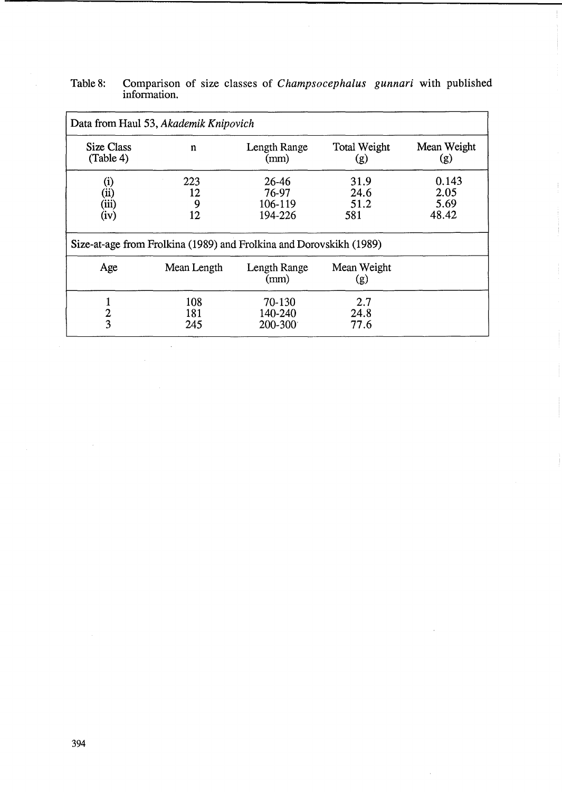# Table 8: Comparison of size classes of *Champsocephalus gunnari* with published information.

| Data from Haul 53, Akademik Knipovich                               |                      |                                      |                             |                                |  |  |  |  |  |  |  |
|---------------------------------------------------------------------|----------------------|--------------------------------------|-----------------------------|--------------------------------|--|--|--|--|--|--|--|
| Size Class<br>(Table 4)                                             | $\mathbf n$          | Length Range<br>(mm)                 | <b>Total Weight</b><br>(g)  | Mean Weight<br>(g)             |  |  |  |  |  |  |  |
| (1)<br>$(\rm ii)$<br>(iii)<br>(iv)                                  | 223<br>12<br>9<br>12 | 26-46<br>76-97<br>106-119<br>194-226 | 31.9<br>24.6<br>51.2<br>581 | 0.143<br>2.05<br>5.69<br>48.42 |  |  |  |  |  |  |  |
| Size-at-age from Frolkina (1989) and Frolkina and Dorovskikh (1989) |                      |                                      |                             |                                |  |  |  |  |  |  |  |
| Age                                                                 | Mean Length          | Length Range<br>(mm)                 | Mean Weight<br>(g)          |                                |  |  |  |  |  |  |  |
| $\overline{\mathbf{c}}$<br>3                                        | 108<br>181<br>245    | 70-130<br>140-240<br>200-300         | 2.7<br>24.8<br>77.6         |                                |  |  |  |  |  |  |  |

 $\bar{z}$ 

J.

 $\sim$   $\sim$ 

 $\mathcal{A}$ 

 $\bar{\mathcal{A}}$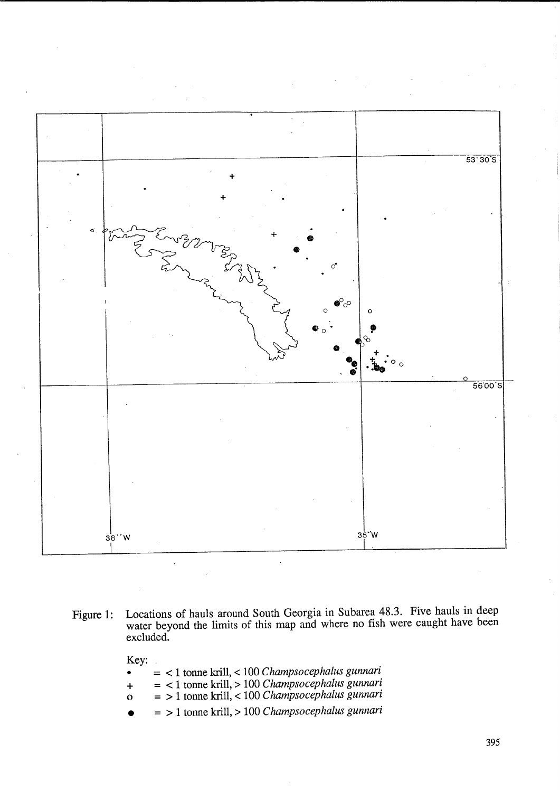

- Figure 1: Locations of hauls around South Georgia in Subarea 48.3. Five hauls in deep water beyond the limits of this map and where no fish were caught have been excluded.
	- Key: • = < 1 tonne krill, < 100 *Champsocephalus gunnari*  + = < 1 tonne kriU, > 100 *Champsocephalus gunnari*  o = > 1 tonne kriU, < 100 *Champsocephalus gunnari*  • = > 1 tonne kriU, > 100 *Champsocephalus gunnari*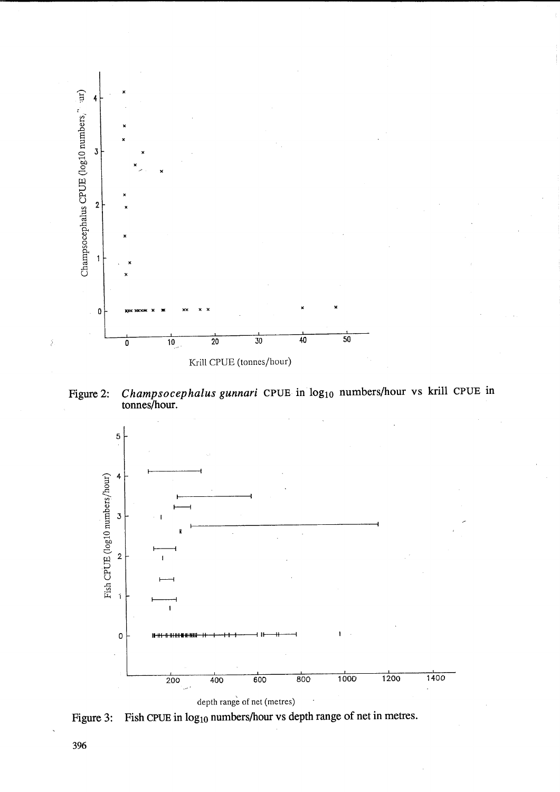

Champsocephalus gunnari CPUE in  $log_{10}$  numbers/hour vs krill CPUE in tonnes/hour. Figure 2:



Figure 3: Fish CPUE in log<sub>10</sub> numbers/hour vs depth range of net in metres.

396

Š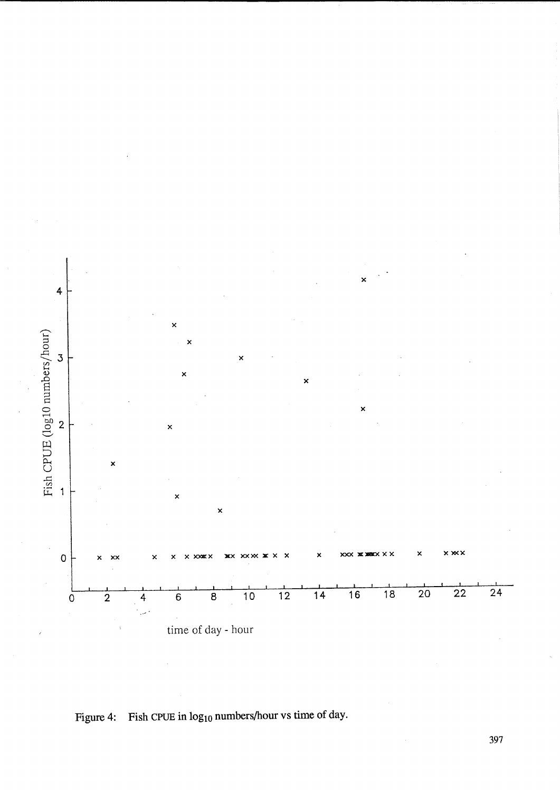

Figure 4: Fish CPUE in  $log_{10}$  numbers/hour vs time of day.

397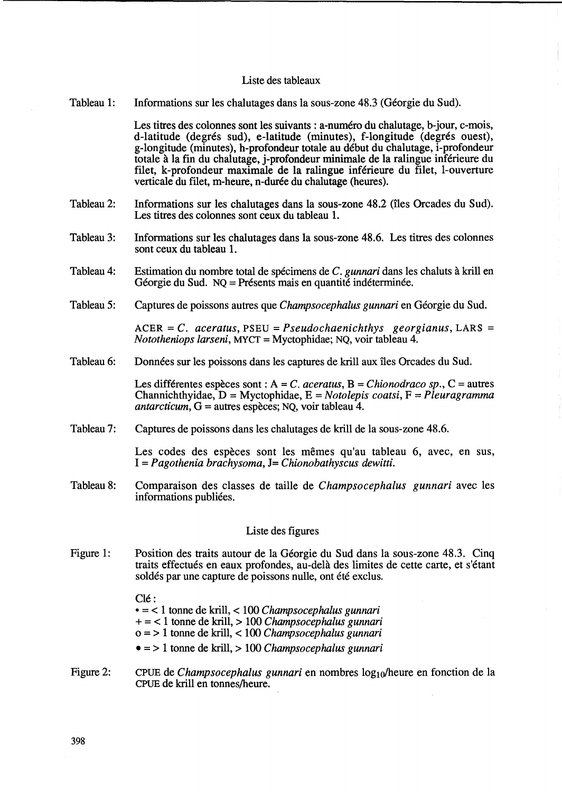#### Liste des tableaux

Tableau 1: Informations sur les chalutages dans la sous-zone 48.3 (Géorgie du Sud).

> Les titres des colonnes sont les suivants : a-numero du chalutage, b-jour, c-mois, d-latitude (degrés sud), e-latitude (minutes), f-longitude (degrés ouest), g-longitude (minutes), h-profondeur totale au debut du chalutage, i-profondeur totale a la fin du chalutage, j-profondeur minimale de la ralingue inferieure du filet, k-profondeur maximale de la ralingue inferieure du filet, l-ouverture verticale du filet, m-heure, n-durée du chalutage (heures).

- Tableau 2: Informations sur les chalutages dans la sous-zone 48.2 (îles Orcades du Sud). Les titres des colonnes sont ceux du tableau 1.
- Tableau 3: Infonnations sur les chalutages dans la sous-zone 48.6. Les titres des colonnes sont ceux du tableau 1.
- Tableau 4: Estimation du nombre total de specimens de C. *gunnari* dans les chaluts a kriU en Géorgie du Sud. NQ = Présents mais en quantité indéterminée.
- Tableau 5: Captures de poissons autres que *Champsocephalus gunnari* en Georgie du Sud.

ACER = C. *aceratus,* PSEU = *Pseudochaenichthys georgianus,* LARS = *Nototheniops larseni,* MYCT = Myctophidae; NQ, voir tableau 4.

Tableau 6: Données sur les poissons dans les captures de krill aux îles Orcades du Sud.

> Les differentes especes sont : A = C. *aceratus,* B = *Chionodraco sp.,* C = autres Channichthyidae, D = Myctophidae, E = *Notolepis coatsi,* F = *Pleuragramma antarcticum,* G = autres especes; NQ, voir tableau 4.

Tableau 7: Captures de poissons dans les chalutages de krill de la sous-zone 48.6.

> Les codes des espèces sont les mêmes qu'au tableau 6, avec, en sus, *1= Pagothenia brachysoma,* J= *Chionobathyscus dewitti.*

Tableau 8: Comparaison des classes de taille de *Champsocephalus gunnari* avec les informations publiées.

### Liste des figures

Figure 1: Position des traits autour de la Georgie du Sud dans la sous-zone 48.3. Cinq traits effectues en eaux profondes, au-dela des limites de cette carte, et s'etant soldés par une capture de poissons nulle, ont été exclus.

 $Cl \acute{e}$ :

• = < 1 tonne de krill, < 100 *Champsocephalus gunnari* 

- + = < 1 tonne de krill, > 100 *Champsocephalus gunnari*
- 0=> 1 tonne de krill, < 100 *Champsocephalus gunnari*
- = > 1 tonne de krill, > 100 *Champsocephalus gunnari*
- Figure 2: CPUE de *Champsocephalus gunnari* en nombres log<sub>10</sub>/heure en fonction de la CPUE de krill en tonnes/heure.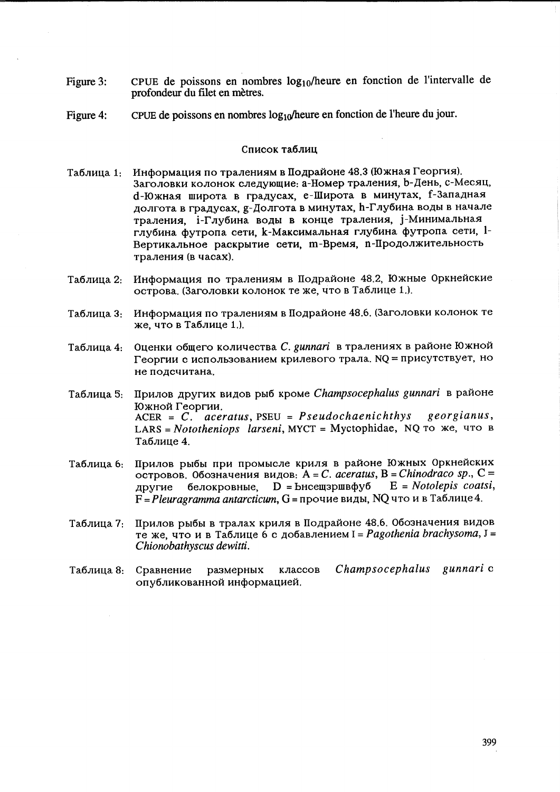- Figure 3: CPUE de poissons en nombres  $log_{10}/$ heure en fonction de l'intervalle de profondeur du filet en metres.
- Figure 4: CPUE de poissons en nombres  $log_{10}/$ heure en fonction de l'heure du jour.

#### Список таблиц

- Таблица 1: Информация по тралениям в Подрайоне 48.3 (Южная Георгия). Заголовки колонок следующие: а-Номер траления, b-День, с-Месяц, d-Южная широта в градусах, е-Широта в минутах, f-Западная долгота в градусах, g-Долгота в минутах, h-Глубина воды в начале траления, i-Глубина воды в конце траления, i-Минимальная глубина футропа сети, k-Максимальная глубина футропа сети, l-Вертикальное раскрытие сети, т-Время, п-Продолжительность траления (в часах).
- Таблица 2: Информация по тралениям в Подрайоне 48.2, Южные Оркнейские острова. (Заголовки колонок те же, что в Таблице 1.).
- Таблица 3: Информация по тралениям в Подрайоне 48.6. (Заголовки колонок те  $x$ е, что в Таблице 1.).
- Таблица 4: Оценки общего количества *С. gunnari* в тралениях в районе Южной Георгии с использованием крилевого трала. NQ = присутствует, но не подсчитана.
- Таблица 5: Прилов других видов рыб кроме *Champsocephalus gunnari* в районе Южной Георгии. ACER = C. *aceratus,* PSEU = *Pseudochaenichthys georgianus,*  LARS = *Nototheniops larseni*, MYCT = Myctophidae, NQ TO *же*, что в Таблице 4.
- Таблица 6: Прилов рыбы при промысле криля в районе Южных Оркнейских островов. 0бозначения видов: A = C. *aceratus*, B = *Chinodraco sp.*, C = другие белокровные, D = bнсещзршвфуб E = Notolepis coatsi, другие белокровные,  $D = B$ нсещзршвфуб  $E = \text{Notole}$  *pis coatsi*,  $F = P$ *leuragramma antarcticum, G* = прочие виды, NQ что и в Таблице 4.
- Таблица 7: Прилов рыбы в тралах криля в Подрайоне 48.6. Обозначения видов Te >Ke, qTO H B Ta6JIH~e 6 C ~06aBJIeHHeM I = *Pagothenia brachysoma,* J = C *hionobathyscus dewitti.*
- Ta6JIH~a 8: CpaBHeHHe pa3MepHblx KJIaCCOB *Champsocephalus gunnari* C опубликованной информацией.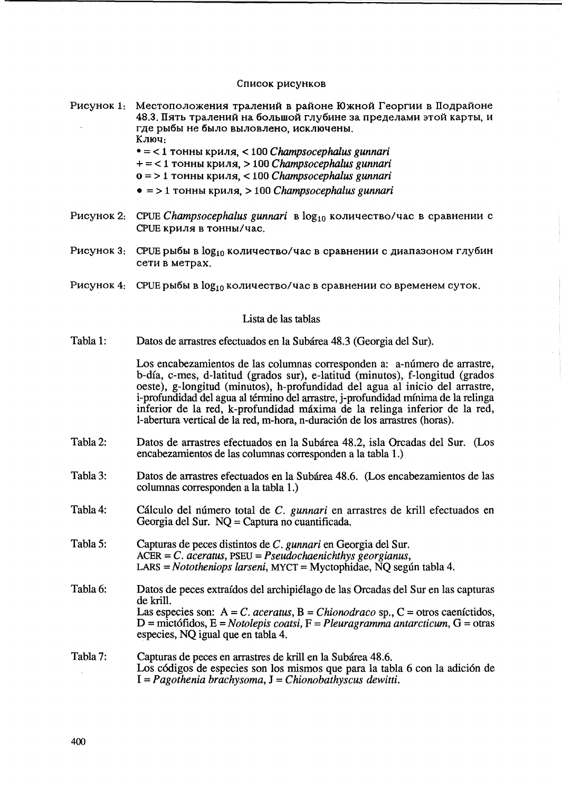#### Список рисунков

- Рисунок 1: Местоположения тралений в районе Южной Георгии в Подрайоне 48.3. Пять тралений на большой глубине за пределами этой карты, и где рыбы не было выловлено, исключены, Ключ.
	- $\bullet =$  < 1 тонны криля. < 100 *Champsocephalus gunnari*
	- $+$  = < 1 тонны криля, > 100 Champsocephalus gunnari
	- $0 = 1$  тонны криля. < 100 Champsocephalus gunnari
	- $\bullet$  = > 1 тонны криля, > 100 *Champsocephalus gunnari*
- Рисунок 2: СРСЕ Champsocephalus gunnari в log<sub>10</sub> количество/час в сравнении с СРОЕ криля в тонны/час.
- Рисунок 3: СРСЕ рыбы в log<sub>10</sub> количество/час в сравнении с диапазоном глубин сети в метрах.
- Рисунок 4: СРСЕ рыбы в log<sub>10</sub> количество/час в сравнении со временем суток.

### Lista de las tablas

Tabla 1: Datos de arrastres efectuados en la Subárea 48.3 (Georgia del Sur).

> Los encabezamientos de las columnas corresponden a: a-número de arrastre, b-día, c-mes, d-latitud (grados sur), e-latitud (minutos), f-longitud (grados oeste), g-longitud (minutos), h-profundidad del agua al inicio del arrastre, i-profundidad del agua al término del arrastre, j-profundidad mínima de la relinga inferior de la red, k-profundidad máxima de la relinga inferior de la red, l-abertura vertical de la red, m-hora, n-duración de los arrastres (horas).

- Tabla 2: Datos de arrastres efectuados en la Subárea 48.2, isla Orcadas del Sur. (Los encabezamientos de las columnas corresponden a la tabla 1.)
- Tabla 3: Datos de arrastres efectuados en la Subárea 48.6. (Los encabezamientos de las columnas corresponden a la tabla 1.)
- Tabla 4: Cálculo del número total de C. gunnari en arrastres de krill efectuados en Georgia del Sur. NO = Captura no cuantificada.
- Tabla 5: Capturas de peces distintos de C. gunnari en Georgia del Sur.  $ACER = C$ . aceratus,  $PSEU = Pseudochaenichthys georgianus$ ,  $LARS = Nototheniops larseni$ , MYCT = Myctophidae, NQ según tabla 4.
- Tabla 6: Datos de peces extraídos del archipiélago de las Orcadas del Sur en las capturas de krill. Las especies son:  $A = C$ . aceratus,  $B = Chionodrac$  sp.,  $C =$  otros caeníctidos,  $D =$  mictófidos, E = Notolepis coatsi, F = Pleuragramma antarcticum, G = otras especies, NQ igual que en tabla 4.

#### Tabla 7: Capturas de peces en arrastres de krill en la Subárea 48.6. Los códigos de especies son los mismos que para la tabla 6 con la adición de  $I = Pagothenia brachysoma, J = Chionobathyscus dewitti.$